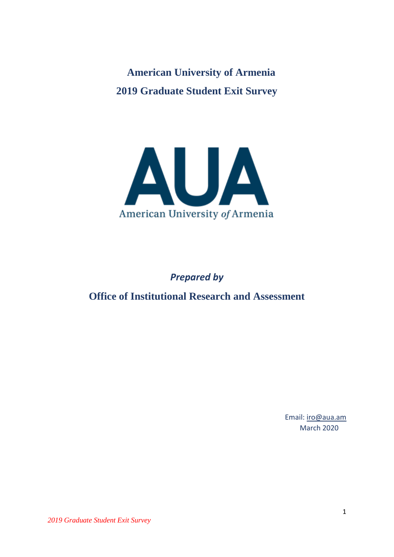**American University of Armenia 2019 Graduate Student Exit Survey**



## *Prepared by*

**Office of Institutional Research and Assessment**

Email: [iro@aua.am](mailto:iro@aua.am) March 2020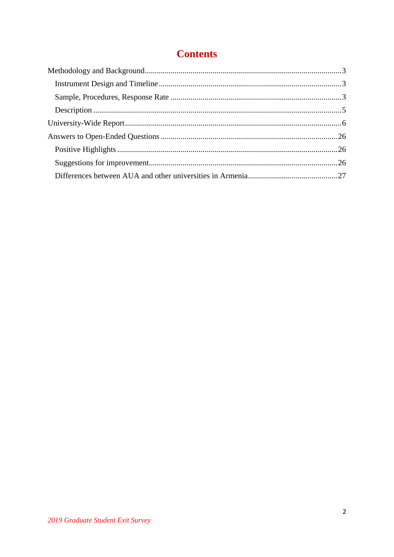# **Contents**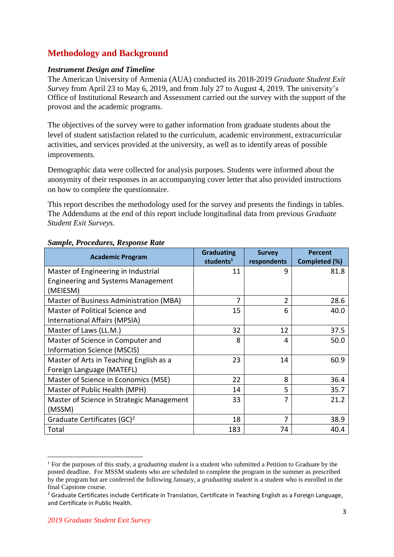### <span id="page-2-0"></span>**Methodology and Background**

### <span id="page-2-1"></span>*Instrument Design and Timeline*

The American University of Armenia (AUA) conducted its 2018-2019 *Graduate Student Exit Survey* from April 23 to May 6, 2019, and from July 27 to August 4, 2019. The university's Office of Institutional Research and Assessment carried out the survey with the support of the provost and the academic programs.

The objectives of the survey were to gather information from graduate students about the level of student satisfaction related to the curriculum, academic environment, extracurricular activities, and services provided at the university, as well as to identify areas of possible improvements.

Demographic data were collected for analysis purposes. Students were informed about the anonymity of their responses in an accompanying cover letter that also provided instructions on how to complete the questionnaire.

This report describes the methodology used for the survey and presents the findings in tables. The Addendums at the end of this report include longitudinal data from previous *Graduate Student Exit Surveys.*

| <b>Academic Program</b>                   | <b>Graduating</b><br>students <sup>1</sup> | <b>Survey</b><br>respondents | <b>Percent</b><br>Completed (%) |
|-------------------------------------------|--------------------------------------------|------------------------------|---------------------------------|
| Master of Engineering in Industrial       | 11                                         | 9                            | 81.8                            |
| <b>Engineering and Systems Management</b> |                                            |                              |                                 |
| (MEIESM)                                  |                                            |                              |                                 |
| Master of Business Administration (MBA)   | 7                                          | 2                            | 28.6                            |
| Master of Political Science and           | 15                                         | 6                            | 40.0                            |
| International Affairs (MPSIA)             |                                            |                              |                                 |
| Master of Laws (LL.M.)                    | 32                                         | 12                           | 37.5                            |
| Master of Science in Computer and         | 8                                          | 4                            | 50.0                            |
| <b>Information Science (MSCIS)</b>        |                                            |                              |                                 |
| Master of Arts in Teaching English as a   | 23                                         | 14                           | 60.9                            |
| Foreign Language (MATEFL)                 |                                            |                              |                                 |
| Master of Science in Economics (MSE)      | 22                                         | 8                            | 36.4                            |
| Master of Public Health (MPH)             | 14                                         | 5                            | 35.7                            |
| Master of Science in Strategic Management | 33                                         | 7                            | 21.2                            |
| (MSSM)                                    |                                            |                              |                                 |
| Graduate Certificates (GC) <sup>2</sup>   | 18                                         | 7                            | 38.9                            |
| Total                                     | 183                                        | 74                           | 40.4                            |

### <span id="page-2-2"></span>*Sample, Procedures, Response Rate*

1

<sup>1</sup> For the purposes of this study, a g*raduating student* is a student who submitted a Petition to Graduate by the posted deadline. For MSSM students who are scheduled to complete the program in the summer as prescribed by the program but are conferred the following January, a *graduating student* is a student who is enrolled in the final Capstone course.

 $2$  Graduate Certificates include Certificate in Translation, Certificate in Teaching English as a Foreign Language, and Certificate in Public Health.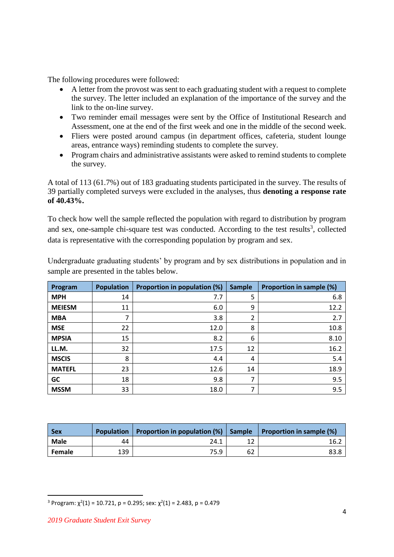The following procedures were followed:

- A letter from the provost was sent to each graduating student with a request to complete the survey. The letter included an explanation of the importance of the survey and the link to the on-line survey.
- Two reminder email messages were sent by the Office of Institutional Research and Assessment, one at the end of the first week and one in the middle of the second week.
- Fliers were posted around campus (in department offices, cafeteria, student lounge areas, entrance ways) reminding students to complete the survey.
- Program chairs and administrative assistants were asked to remind students to complete the survey.

A total of 113 (61.7%) out of 183 graduating students participated in the survey. The results of 39 partially completed surveys were excluded in the analyses, thus **denoting a response rate of 40.43%.**

To check how well the sample reflected the population with regard to distribution by program and sex, one-sample chi-square test was conducted. According to the test results<sup>3</sup>, collected data is representative with the corresponding population by program and sex.

| Program       | <b>Population</b> | Proportion in population (%) | <b>Sample</b> | Proportion in sample (%) |
|---------------|-------------------|------------------------------|---------------|--------------------------|
| <b>MPH</b>    | 14                | 7.7                          | 5             | 6.8                      |
| <b>MEIESM</b> | 11                | 6.0                          | 9             | 12.2                     |
| <b>MBA</b>    | 7                 | 3.8                          | 2             | 2.7                      |
| <b>MSE</b>    | 22                | 12.0                         | 8             | 10.8                     |
| <b>MPSIA</b>  | 15                | 8.2                          | 6             | 8.10                     |
| LL.M.         | 32                | 17.5                         | 12            | 16.2                     |
| <b>MSCIS</b>  | 8                 | 4.4                          | 4             | 5.4                      |
| <b>MATEFL</b> | 23                | 12.6                         | 14            | 18.9                     |
| GC            | 18                | 9.8                          |               | 9.5                      |
| <b>MSSM</b>   | 33                | 18.0                         | 7             | 9.5                      |

Undergraduate graduating students' by program and by sex distributions in population and in sample are presented in the tables below.

| <b>Sex</b> |     | Population   Proportion in population $(\%)$   Sample   Proportion in sample $(\%)$ |    |      |
|------------|-----|-------------------------------------------------------------------------------------|----|------|
| Male       | 44  | 24.1                                                                                |    | ⊾16  |
| Female     | 139 | 75.9                                                                                | 62 | 83.8 |

 $\overline{a}$ 

<sup>&</sup>lt;sup>3</sup> Program:  $\chi^2(1)$  = 10.721, p = 0.295; sex:  $\chi^2(1)$  = 2.483, p = 0.479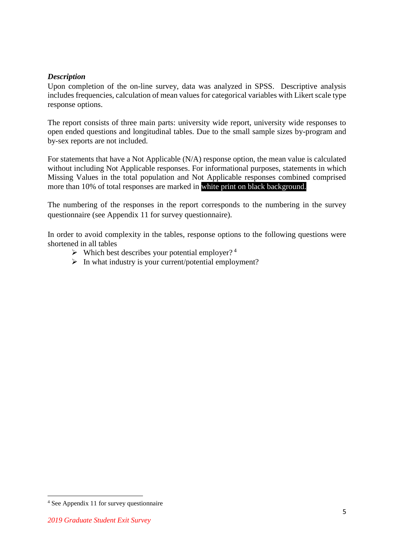### <span id="page-4-0"></span>*Description*

Upon completion of the on-line survey, data was analyzed in SPSS. Descriptive analysis includes frequencies, calculation of mean values for categorical variables with Likert scale type response options.

The report consists of three main parts: university wide report, university wide responses to open ended questions and longitudinal tables. Due to the small sample sizes by-program and by-sex reports are not included.

For statements that have a Not Applicable (N/A) response option, the mean value is calculated without including Not Applicable responses. For informational purposes, statements in which Missing Values in the total population and Not Applicable responses combined comprised more than 10% of total responses are marked in white print on black background.

The numbering of the responses in the report corresponds to the numbering in the survey questionnaire (see Appendix 11 for survey questionnaire).

In order to avoid complexity in the tables, response options to the following questions were shortened in all tables

- $\triangleright$  Which best describes your potential employer?<sup>4</sup>
- $\triangleright$  In what industry is your current/potential employment?

 $\overline{a}$ 

<sup>4</sup> See Appendix 11 for survey questionnaire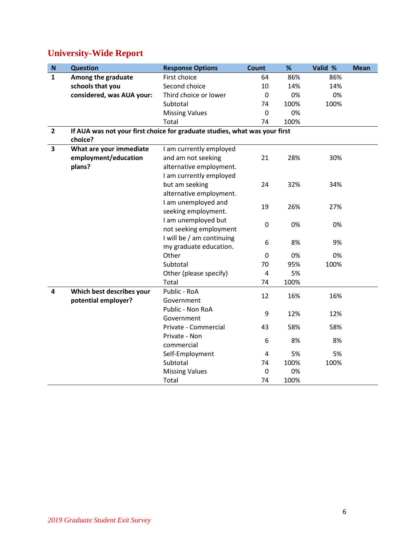# <span id="page-5-0"></span>**University-Wide Report**

| ${\bf N}$               | <b>Question</b>                                                            | <b>Response Options</b>   | Count       | %    | Valid % | <b>Mean</b> |
|-------------------------|----------------------------------------------------------------------------|---------------------------|-------------|------|---------|-------------|
| $\mathbf{1}$            | Among the graduate                                                         | First choice              | 64          | 86%  | 86%     |             |
|                         | schools that you                                                           | Second choice             | 10          | 14%  | 14%     |             |
|                         | considered, was AUA your:                                                  | Third choice or lower     | $\mathbf 0$ | 0%   | 0%      |             |
|                         |                                                                            | Subtotal                  | 74          | 100% | 100%    |             |
|                         |                                                                            | <b>Missing Values</b>     | $\mathbf 0$ | 0%   |         |             |
|                         |                                                                            | Total                     | 74          | 100% |         |             |
| $\overline{2}$          | If AUA was not your first choice for graduate studies, what was your first |                           |             |      |         |             |
|                         | choice?                                                                    |                           |             |      |         |             |
| $\overline{\mathbf{3}}$ | What are your immediate                                                    | I am currently employed   |             |      |         |             |
|                         | employment/education                                                       | and am not seeking        | 21          | 28%  | 30%     |             |
|                         | plans?                                                                     | alternative employment.   |             |      |         |             |
|                         |                                                                            | I am currently employed   |             |      |         |             |
|                         |                                                                            | but am seeking            | 24          | 32%  | 34%     |             |
|                         |                                                                            | alternative employment.   |             |      |         |             |
|                         |                                                                            | I am unemployed and       | 19          | 26%  | 27%     |             |
|                         |                                                                            | seeking employment.       |             |      |         |             |
|                         |                                                                            | I am unemployed but       | $\mathbf 0$ | 0%   | 0%      |             |
|                         |                                                                            | not seeking employment    |             |      |         |             |
|                         |                                                                            | I will be / am continuing | 6           | 8%   | 9%      |             |
|                         |                                                                            | my graduate education.    |             |      |         |             |
|                         |                                                                            | Other                     | $\mathbf 0$ | 0%   | 0%      |             |
|                         |                                                                            | Subtotal                  | 70          | 95%  | 100%    |             |
|                         |                                                                            | Other (please specify)    | 4           | 5%   |         |             |
|                         |                                                                            | Total                     | 74          | 100% |         |             |
| 4                       | Which best describes your                                                  | Public - RoA              | 12          | 16%  | 16%     |             |
|                         | potential employer?                                                        | Government                |             |      |         |             |
|                         |                                                                            | Public - Non RoA          | 9           | 12%  | 12%     |             |
|                         |                                                                            | Government                |             |      |         |             |
|                         |                                                                            | Private - Commercial      | 43          | 58%  | 58%     |             |
|                         |                                                                            | Private - Non             | 6           | 8%   | 8%      |             |
|                         |                                                                            | commercial                |             |      |         |             |
|                         |                                                                            | Self-Employment           | 4           | 5%   | 5%      |             |
|                         |                                                                            | Subtotal                  | 74          | 100% | 100%    |             |
|                         |                                                                            | <b>Missing Values</b>     | $\mathbf 0$ | 0%   |         |             |
|                         |                                                                            | Total                     | 74          | 100% |         |             |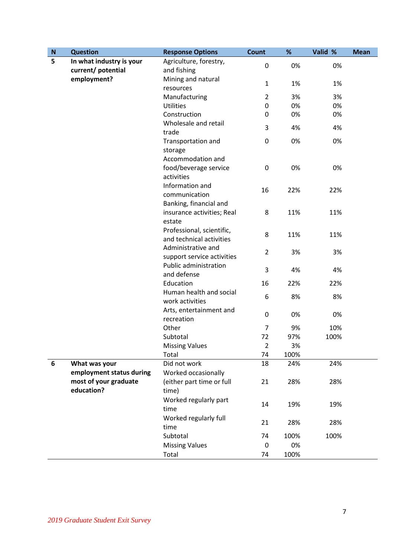| $\mathbf N$ | <b>Question</b>          | <b>Response Options</b>                    | Count                   | %    | Valid % | <b>Mean</b> |
|-------------|--------------------------|--------------------------------------------|-------------------------|------|---------|-------------|
| 5           | In what industry is your | Agriculture, forestry,                     | 0                       | 0%   | 0%      |             |
|             | current/ potential       | and fishing                                |                         |      |         |             |
|             | employment?              | Mining and natural                         | $\mathbf{1}$            | 1%   | 1%      |             |
|             |                          | resources                                  |                         |      |         |             |
|             |                          | Manufacturing                              | $\overline{2}$          | 3%   | 3%      |             |
|             |                          | <b>Utilities</b>                           | 0                       | 0%   | 0%      |             |
|             |                          | Construction                               | 0                       | 0%   | 0%      |             |
|             |                          | Wholesale and retail                       | 3                       | 4%   | 4%      |             |
|             |                          | trade                                      |                         |      |         |             |
|             |                          | Transportation and                         | 0                       | 0%   | 0%      |             |
|             |                          | storage                                    |                         |      |         |             |
|             |                          | Accommodation and                          |                         |      |         |             |
|             |                          | food/beverage service                      | $\mathbf 0$             | 0%   | 0%      |             |
|             |                          | activities                                 |                         |      |         |             |
|             |                          | Information and                            | 16                      | 22%  | 22%     |             |
|             |                          | communication                              |                         |      |         |             |
|             |                          | Banking, financial and                     |                         |      |         |             |
|             |                          | insurance activities; Real                 | 8                       | 11%  | 11%     |             |
|             |                          | estate                                     |                         |      |         |             |
|             |                          | Professional, scientific,                  | 8                       | 11%  | 11%     |             |
|             |                          | and technical activities                   |                         |      |         |             |
|             |                          | Administrative and                         | $\overline{2}$          | 3%   | 3%      |             |
|             |                          | support service activities                 |                         |      |         |             |
|             |                          | Public administration                      | 3                       | 4%   | 4%      |             |
|             |                          | and defense                                |                         |      |         |             |
|             |                          | Education                                  | 16                      | 22%  | 22%     |             |
|             |                          | Human health and social<br>work activities | 6                       | 8%   | 8%      |             |
|             |                          | Arts, entertainment and                    |                         |      |         |             |
|             |                          | recreation                                 | $\boldsymbol{0}$        | 0%   | 0%      |             |
|             |                          | Other                                      | 7                       | 9%   | 10%     |             |
|             |                          | Subtotal                                   | 72                      | 97%  | 100%    |             |
|             |                          | <b>Missing Values</b>                      | $\overline{\mathbf{c}}$ | 3%   |         |             |
|             |                          | Total                                      | 74                      | 100% |         |             |
| 6           | What was your            | Did not work                               | 18                      | 24%  | 24%     |             |
|             | employment status during | Worked occasionally                        |                         |      |         |             |
|             | most of your graduate    | (either part time or full                  | 21                      | 28%  | 28%     |             |
|             | education?               | time)                                      |                         |      |         |             |
|             |                          | Worked regularly part                      |                         |      |         |             |
|             |                          | time                                       | 14                      | 19%  | 19%     |             |
|             |                          | Worked regularly full                      |                         |      |         |             |
|             |                          | time                                       | 21                      | 28%  | 28%     |             |
|             |                          | Subtotal                                   | 74                      | 100% | 100%    |             |
|             |                          | <b>Missing Values</b>                      | 0                       | 0%   |         |             |
|             |                          | Total                                      | 74                      | 100% |         |             |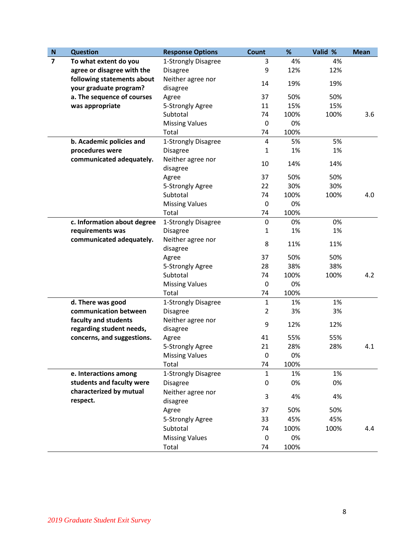| ${\bf N}$      | <b>Question</b>             | <b>Response Options</b>       | <b>Count</b>   | %    | Valid % | <b>Mean</b> |
|----------------|-----------------------------|-------------------------------|----------------|------|---------|-------------|
| $\overline{7}$ | To what extent do you       | 1-Strongly Disagree           | 3              | 4%   | 4%      |             |
|                | agree or disagree with the  | <b>Disagree</b>               | 9              | 12%  | 12%     |             |
|                | following statements about  | Neither agree nor             | 14             | 19%  | 19%     |             |
|                | your graduate program?      | disagree                      |                |      |         |             |
|                | a. The sequence of courses  | Agree                         | 37             | 50%  | 50%     |             |
|                | was appropriate             | 5-Strongly Agree              | 11             | 15%  | 15%     |             |
|                |                             | Subtotal                      | 74             | 100% | 100%    | 3.6         |
|                |                             | <b>Missing Values</b>         | 0              | 0%   |         |             |
|                |                             | Total                         | 74             | 100% |         |             |
|                | b. Academic policies and    | 1-Strongly Disagree           | 4              | 5%   | 5%      |             |
|                | procedures were             | <b>Disagree</b>               | $\mathbf{1}$   | 1%   | 1%      |             |
|                | communicated adequately.    | Neither agree nor<br>disagree | 10             | 14%  | 14%     |             |
|                |                             | Agree                         | 37             | 50%  | 50%     |             |
|                |                             | 5-Strongly Agree              | 22             | 30%  | 30%     |             |
|                |                             | Subtotal                      | 74             | 100% | 100%    | 4.0         |
|                |                             | <b>Missing Values</b>         | $\mathbf 0$    | 0%   |         |             |
|                |                             | Total                         | 74             | 100% |         |             |
|                | c. Information about degree | 1-Strongly Disagree           | $\mathbf 0$    | 0%   | 0%      |             |
|                | requirements was            | <b>Disagree</b>               | $\mathbf{1}$   | 1%   | 1%      |             |
|                | communicated adequately.    | Neither agree nor             |                |      |         |             |
|                |                             | disagree                      | 8              | 11%  | 11%     |             |
|                |                             | Agree                         | 37             | 50%  | 50%     |             |
|                |                             | 5-Strongly Agree              | 28             | 38%  | 38%     |             |
|                |                             | Subtotal                      | 74             | 100% | 100%    | 4.2         |
|                |                             | <b>Missing Values</b>         | $\pmb{0}$      | 0%   |         |             |
|                |                             | Total                         | 74             | 100% |         |             |
|                | d. There was good           | 1-Strongly Disagree           | $\mathbf{1}$   | 1%   | 1%      |             |
|                | communication between       | <b>Disagree</b>               | $\overline{2}$ | 3%   | 3%      |             |
|                | faculty and students        | Neither agree nor             | 9              |      |         |             |
|                | regarding student needs,    | disagree                      |                | 12%  | 12%     |             |
|                | concerns, and suggestions.  | Agree                         | 41             | 55%  | 55%     |             |
|                |                             | 5-Strongly Agree              | 21             | 28%  | 28%     | 4.1         |
|                |                             | <b>Missing Values</b>         | 0              | 0%   |         |             |
|                |                             | Total                         | 74             | 100% |         |             |
|                | e. Interactions among       | 1-Strongly Disagree           | 1              | 1%   | 1%      |             |
|                | students and faculty were   | <b>Disagree</b>               | 0              | 0%   | 0%      |             |
|                | characterized by mutual     | Neither agree nor             |                |      |         |             |
|                | respect.                    | disagree                      | 3              | 4%   | 4%      |             |
|                |                             | Agree                         | 37             | 50%  | 50%     |             |
|                |                             | 5-Strongly Agree              | 33             | 45%  | 45%     |             |
|                |                             | Subtotal                      | 74             | 100% | 100%    | 4.4         |
|                |                             | <b>Missing Values</b>         | 0              | 0%   |         |             |
|                |                             | Total                         | 74             | 100% |         |             |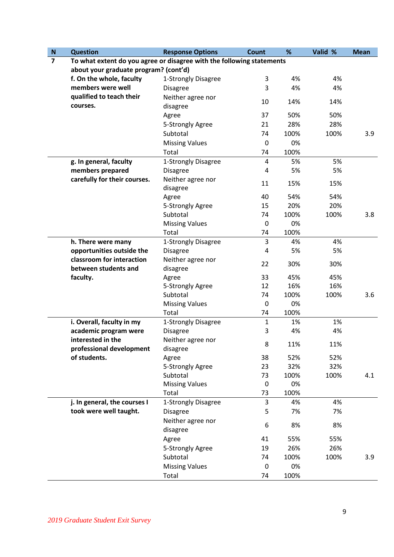| $\mathsf{N}$   | <b>Question</b>                                                       | <b>Response Options</b>       | <b>Count</b>     | %    | Valid % | <b>Mean</b> |
|----------------|-----------------------------------------------------------------------|-------------------------------|------------------|------|---------|-------------|
| $\overline{7}$ | To what extent do you agree or disagree with the following statements |                               |                  |      |         |             |
|                | about your graduate program? (cont'd)                                 |                               |                  |      |         |             |
|                | f. On the whole, faculty                                              | 1-Strongly Disagree           | 3                | 4%   | 4%      |             |
|                | members were well                                                     | <b>Disagree</b>               | 3                | 4%   | 4%      |             |
|                | qualified to teach their<br>courses.                                  | Neither agree nor<br>disagree | 10               | 14%  | 14%     |             |
|                |                                                                       | Agree                         | 37               | 50%  | 50%     |             |
|                |                                                                       | 5-Strongly Agree              | 21               | 28%  | 28%     |             |
|                |                                                                       | Subtotal                      | 74               | 100% | 100%    | 3.9         |
|                |                                                                       | <b>Missing Values</b>         | $\boldsymbol{0}$ | 0%   |         |             |
|                |                                                                       | Total                         | 74               | 100% |         |             |
|                | g. In general, faculty                                                | 1-Strongly Disagree           | 4                | 5%   | 5%      |             |
|                | members prepared                                                      | <b>Disagree</b>               | 4                | 5%   | 5%      |             |
|                | carefully for their courses.                                          | Neither agree nor<br>disagree | 11               | 15%  | 15%     |             |
|                |                                                                       | Agree                         | 40               | 54%  | 54%     |             |
|                |                                                                       | 5-Strongly Agree              | 15               | 20%  | 20%     |             |
|                |                                                                       | Subtotal                      | 74               | 100% | 100%    | 3.8         |
|                |                                                                       | <b>Missing Values</b>         | $\mathbf 0$      | 0%   |         |             |
|                |                                                                       | Total                         | 74               | 100% |         |             |
|                | h. There were many                                                    | 1-Strongly Disagree           | 3                | 4%   | 4%      |             |
|                | opportunities outside the                                             | <b>Disagree</b>               | 4                | 5%   | 5%      |             |
|                | classroom for interaction<br>between students and                     | Neither agree nor<br>disagree | 22               | 30%  | 30%     |             |
|                | faculty.                                                              | Agree                         | 33               | 45%  | 45%     |             |
|                |                                                                       | 5-Strongly Agree              | 12               | 16%  | 16%     |             |
|                |                                                                       | Subtotal                      | 74               | 100% | 100%    | 3.6         |
|                |                                                                       | <b>Missing Values</b>         | $\mathbf 0$      | 0%   |         |             |
|                |                                                                       | Total                         | 74               | 100% |         |             |
|                | i. Overall, faculty in my                                             | 1-Strongly Disagree           | $\mathbf{1}$     | 1%   | 1%      |             |
|                | academic program were                                                 | <b>Disagree</b>               | 3                | 4%   | 4%      |             |
|                | interested in the<br>professional development                         | Neither agree nor<br>disagree | 8                | 11%  | 11%     |             |
|                | of students.                                                          | Agree                         | 38               | 52%  | 52%     |             |
|                |                                                                       | 5-Strongly Agree              | 23               | 32%  | 32%     |             |
|                |                                                                       | Subtotal                      | 73               | 100% | 100%    | 4.1         |
|                |                                                                       | <b>Missing Values</b>         | $\mathbf 0$      | 0%   |         |             |
|                |                                                                       | Total                         | 73               | 100% |         |             |
|                | j. In general, the courses I                                          | 1-Strongly Disagree           | 3                | 4%   | 4%      |             |
|                | took were well taught.                                                | <b>Disagree</b>               | 5                | 7%   | 7%      |             |
|                |                                                                       | Neither agree nor<br>disagree | 6                | 8%   | 8%      |             |
|                |                                                                       | Agree                         | 41               | 55%  | 55%     |             |
|                |                                                                       | 5-Strongly Agree              | 19               | 26%  | 26%     |             |
|                |                                                                       | Subtotal                      | 74               | 100% | 100%    | 3.9         |
|                |                                                                       | <b>Missing Values</b>         | $\boldsymbol{0}$ | 0%   |         |             |
|                |                                                                       | Total                         | 74               | 100% |         |             |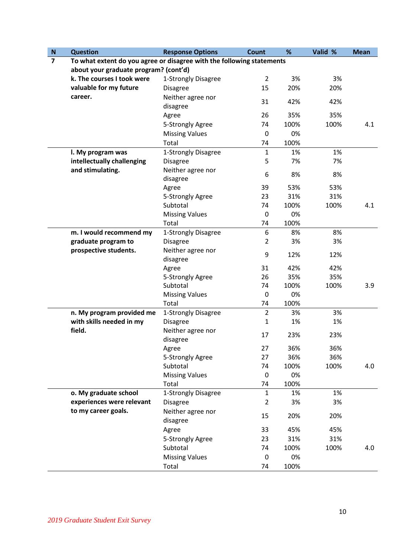| ${\bf N}$      | <b>Question</b>                                                       | <b>Response Options</b>       | <b>Count</b>   | %    | Valid % | <b>Mean</b> |
|----------------|-----------------------------------------------------------------------|-------------------------------|----------------|------|---------|-------------|
| $\overline{7}$ | To what extent do you agree or disagree with the following statements |                               |                |      |         |             |
|                | about your graduate program? (cont'd)                                 |                               |                |      |         |             |
|                | k. The courses I took were                                            | 1-Strongly Disagree           | $\overline{2}$ | 3%   | 3%      |             |
|                | valuable for my future                                                | <b>Disagree</b>               | 15             | 20%  | 20%     |             |
|                | career.                                                               | Neither agree nor             | 31             | 42%  | 42%     |             |
|                |                                                                       | disagree                      |                |      |         |             |
|                |                                                                       | Agree                         | 26             | 35%  | 35%     |             |
|                |                                                                       | 5-Strongly Agree              | 74             | 100% | 100%    | 4.1         |
|                |                                                                       | <b>Missing Values</b>         | $\mathbf 0$    | 0%   |         |             |
|                |                                                                       | Total                         | 74             | 100% |         |             |
|                | I. My program was                                                     | 1-Strongly Disagree           | $\mathbf{1}$   | 1%   | 1%      |             |
|                | intellectually challenging                                            | <b>Disagree</b>               | 5              | 7%   | 7%      |             |
|                | and stimulating.                                                      | Neither agree nor             |                |      |         |             |
|                |                                                                       | disagree                      | 6              | 8%   | 8%      |             |
|                |                                                                       | Agree                         | 39             | 53%  | 53%     |             |
|                |                                                                       | 5-Strongly Agree              | 23             | 31%  | 31%     |             |
|                |                                                                       | Subtotal                      | 74             | 100% | 100%    | 4.1         |
|                |                                                                       | <b>Missing Values</b>         | 0              | 0%   |         |             |
|                |                                                                       | Total                         | 74             | 100% |         |             |
|                | m. I would recommend my                                               | 1-Strongly Disagree           | 6              | 8%   | 8%      |             |
|                | graduate program to                                                   | <b>Disagree</b>               | $\overline{2}$ | 3%   | 3%      |             |
|                | prospective students.                                                 | Neither agree nor             | 9              | 12%  | 12%     |             |
|                |                                                                       | disagree                      |                |      |         |             |
|                |                                                                       | Agree                         | 31             | 42%  | 42%     |             |
|                |                                                                       | 5-Strongly Agree              | 26             | 35%  | 35%     |             |
|                |                                                                       | Subtotal                      | 74             | 100% | 100%    | 3.9         |
|                |                                                                       | <b>Missing Values</b>         | $\mathbf 0$    | 0%   |         |             |
|                |                                                                       | Total                         | 74             | 100% |         |             |
|                | n. My program provided me                                             | 1-Strongly Disagree           | $\overline{2}$ | 3%   | 3%      |             |
|                | with skills needed in my                                              | <b>Disagree</b>               | 1              | 1%   | 1%      |             |
|                | field.                                                                | Neither agree nor             | 17             | 23%  | 23%     |             |
|                |                                                                       | disagree                      |                |      |         |             |
|                |                                                                       | Agree                         | 27             | 36%  | 36%     |             |
|                |                                                                       | 5-Strongly Agree              | 27             | 36%  | 36%     |             |
|                |                                                                       | Subtotal                      | 74             | 100% | 100%    | 4.0         |
|                |                                                                       | <b>Missing Values</b>         | $\mathbf 0$    | 0%   |         |             |
|                |                                                                       | Total                         | 74             | 100% |         |             |
|                | o. My graduate school                                                 | 1-Strongly Disagree           | $\mathbf{1}$   | 1%   | 1%      |             |
|                | experiences were relevant                                             | <b>Disagree</b>               | $\overline{2}$ | 3%   | 3%      |             |
|                | to my career goals.                                                   | Neither agree nor<br>disagree | 15             | 20%  | 20%     |             |
|                |                                                                       | Agree                         | 33             | 45%  | 45%     |             |
|                |                                                                       | 5-Strongly Agree              | 23             | 31%  | 31%     |             |
|                |                                                                       | Subtotal                      | 74             | 100% | 100%    | 4.0         |
|                |                                                                       | <b>Missing Values</b>         | 0              | 0%   |         |             |
|                |                                                                       | Total                         | 74             | 100% |         |             |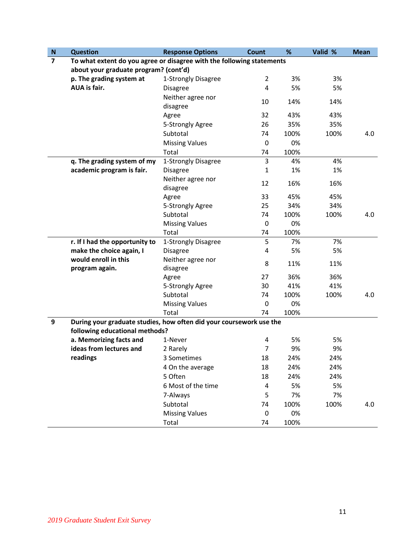| N              | <b>Question</b>                                                                                       | <b>Response Options</b>       | Count          | %    | Valid % | <b>Mean</b> |
|----------------|-------------------------------------------------------------------------------------------------------|-------------------------------|----------------|------|---------|-------------|
| $\overline{7}$ | To what extent do you agree or disagree with the following statements                                 |                               |                |      |         |             |
|                | about your graduate program? (cont'd)                                                                 |                               |                |      |         |             |
|                | p. The grading system at                                                                              | 1-Strongly Disagree           | $\overline{2}$ | 3%   | 3%      |             |
|                | <b>AUA</b> is fair.                                                                                   | <b>Disagree</b>               | 4              | 5%   | 5%      |             |
|                |                                                                                                       | Neither agree nor<br>disagree | 10             | 14%  | 14%     |             |
|                |                                                                                                       | Agree                         | 32             | 43%  | 43%     |             |
|                |                                                                                                       | 5-Strongly Agree              | 26             | 35%  | 35%     |             |
|                |                                                                                                       | Subtotal                      | 74             | 100% | 100%    | 4.0         |
|                |                                                                                                       | <b>Missing Values</b>         | 0              | 0%   |         |             |
|                |                                                                                                       | Total                         | 74             | 100% |         |             |
|                | q. The grading system of my                                                                           | 1-Strongly Disagree           | 3              | 4%   | 4%      |             |
|                | academic program is fair.                                                                             | <b>Disagree</b>               | 1              | 1%   | 1%      |             |
|                |                                                                                                       | Neither agree nor<br>disagree | 12             | 16%  | 16%     |             |
|                |                                                                                                       | Agree                         | 33             | 45%  | 45%     |             |
|                |                                                                                                       | 5-Strongly Agree              | 25             | 34%  | 34%     |             |
|                |                                                                                                       | Subtotal                      | 74             | 100% | 100%    | 4.0         |
|                |                                                                                                       | <b>Missing Values</b>         | $\mathbf 0$    | 0%   |         |             |
|                |                                                                                                       | Total                         | 74             | 100% |         |             |
|                | r. If I had the opportunity to                                                                        | 1-Strongly Disagree           | 5              | 7%   | 7%      |             |
|                | make the choice again, I                                                                              | <b>Disagree</b>               | 4              | 5%   | 5%      |             |
|                | would enroll in this                                                                                  | Neither agree nor             | 8              | 11%  | 11%     |             |
|                | program again.                                                                                        | disagree                      |                |      |         |             |
|                |                                                                                                       | Agree                         | 27             | 36%  | 36%     |             |
|                |                                                                                                       | 5-Strongly Agree              | 30             | 41%  | 41%     |             |
|                |                                                                                                       | Subtotal                      | 74             | 100% | 100%    | 4.0         |
|                |                                                                                                       | <b>Missing Values</b>         | $\mathbf 0$    | 0%   |         |             |
|                |                                                                                                       | Total                         | 74             | 100% |         |             |
| 9              | During your graduate studies, how often did your coursework use the<br>following educational methods? |                               |                |      |         |             |
|                | a. Memorizing facts and                                                                               | 1-Never                       | 4              | 5%   | 5%      |             |
|                | ideas from lectures and                                                                               | 2 Rarely                      | $\overline{7}$ | 9%   | 9%      |             |
|                | readings                                                                                              | 3 Sometimes                   | 18             | 24%  | 24%     |             |
|                |                                                                                                       | 4 On the average              | 18             | 24%  | 24%     |             |
|                |                                                                                                       | 5 Often                       | 18             | 24%  | 24%     |             |
|                |                                                                                                       | 6 Most of the time            | 4              | 5%   | 5%      |             |
|                |                                                                                                       | 7-Always                      | 5              | 7%   | 7%      |             |
|                |                                                                                                       | Subtotal                      | 74             | 100% | 100%    | 4.0         |
|                |                                                                                                       | <b>Missing Values</b>         | 0              | 0%   |         |             |
|                |                                                                                                       | Total                         | 74             | 100% |         |             |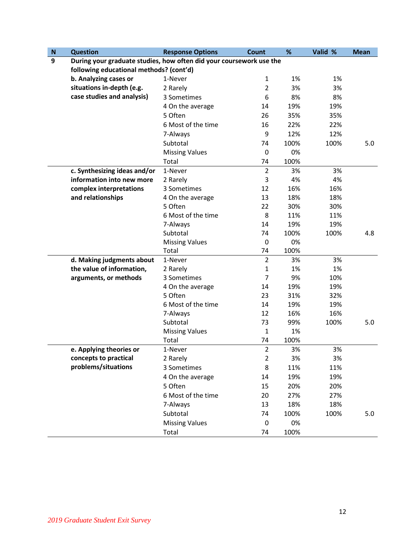| $\mathbf N$ | <b>Question</b>                                                     | <b>Response Options</b> | <b>Count</b>   | %    | Valid % | <b>Mean</b> |
|-------------|---------------------------------------------------------------------|-------------------------|----------------|------|---------|-------------|
| 9           | During your graduate studies, how often did your coursework use the |                         |                |      |         |             |
|             | following educational methods? (cont'd)                             |                         |                |      |         |             |
|             | b. Analyzing cases or                                               | 1-Never                 | $\mathbf{1}$   | 1%   | 1%      |             |
|             | situations in-depth (e.g.                                           | 2 Rarely                | $\overline{2}$ | 3%   | 3%      |             |
|             | case studies and analysis)                                          | 3 Sometimes             | 6              | 8%   | 8%      |             |
|             |                                                                     | 4 On the average        | 14             | 19%  | 19%     |             |
|             |                                                                     | 5 Often                 | 26             | 35%  | 35%     |             |
|             |                                                                     | 6 Most of the time      | 16             | 22%  | 22%     |             |
|             |                                                                     | 7-Always                | 9              | 12%  | 12%     |             |
|             |                                                                     | Subtotal                | 74             | 100% | 100%    | 5.0         |
|             |                                                                     | <b>Missing Values</b>   | $\mathbf 0$    | 0%   |         |             |
|             |                                                                     | Total                   | 74             | 100% |         |             |
|             | c. Synthesizing ideas and/or                                        | 1-Never                 | $\overline{2}$ | 3%   | 3%      |             |
|             | information into new more                                           | 2 Rarely                | 3              | 4%   | 4%      |             |
|             | complex interpretations                                             | 3 Sometimes             | 12             | 16%  | 16%     |             |
|             | and relationships                                                   | 4 On the average        | 13             | 18%  | 18%     |             |
|             |                                                                     | 5 Often                 | 22             | 30%  | 30%     |             |
|             |                                                                     | 6 Most of the time      | 8              | 11%  | 11%     |             |
|             |                                                                     | 7-Always                | 14             | 19%  | 19%     |             |
|             |                                                                     | Subtotal                | 74             | 100% | 100%    | 4.8         |
|             |                                                                     | <b>Missing Values</b>   | 0              | 0%   |         |             |
|             |                                                                     | Total                   | 74             | 100% |         |             |
|             | d. Making judgments about                                           | 1-Never                 | $\overline{2}$ | 3%   | 3%      |             |
|             | the value of information,                                           | 2 Rarely                | 1              | 1%   | 1%      |             |
|             | arguments, or methods                                               | 3 Sometimes             | 7              | 9%   | 10%     |             |
|             |                                                                     | 4 On the average        | 14             | 19%  | 19%     |             |
|             |                                                                     | 5 Often                 | 23             | 31%  | 32%     |             |
|             |                                                                     | 6 Most of the time      | 14             | 19%  | 19%     |             |
|             |                                                                     | 7-Always                | 12             | 16%  | 16%     |             |
|             |                                                                     | Subtotal                | 73             | 99%  | 100%    | 5.0         |
|             |                                                                     | <b>Missing Values</b>   | 1              | 1%   |         |             |
|             |                                                                     | Total                   | 74             | 100% |         |             |
|             | e. Applying theories or                                             | 1-Never                 | $\overline{2}$ | 3%   | 3%      |             |
|             | concepts to practical                                               | 2 Rarely                | $\overline{2}$ | 3%   | 3%      |             |
|             | problems/situations                                                 | 3 Sometimes             | 8              | 11%  | 11%     |             |
|             |                                                                     | 4 On the average        | 14             | 19%  | 19%     |             |
|             |                                                                     | 5 Often                 | 15             | 20%  | 20%     |             |
|             |                                                                     | 6 Most of the time      | 20             | 27%  | 27%     |             |
|             |                                                                     | 7-Always                | 13             | 18%  | 18%     |             |
|             |                                                                     | Subtotal                | 74             | 100% | 100%    | 5.0         |
|             |                                                                     | <b>Missing Values</b>   | $\mathbf 0$    | 0%   |         |             |
|             |                                                                     | Total                   | 74             | 100% |         |             |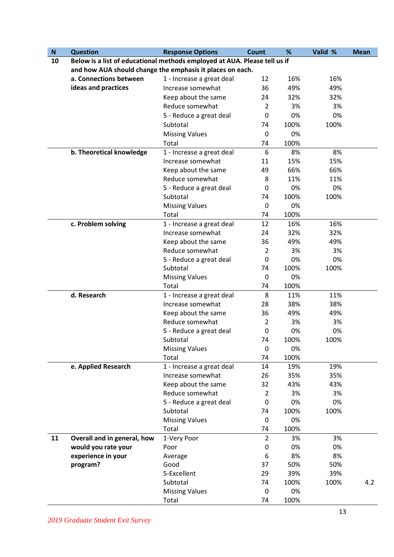| ${\bf N}$ | <b>Question</b>                                                           | <b>Response Options</b>   | Count          | %    | Valid % | <b>Mean</b> |
|-----------|---------------------------------------------------------------------------|---------------------------|----------------|------|---------|-------------|
| 10        | Below is a list of educational methods employed at AUA. Please tell us if |                           |                |      |         |             |
|           | and how AUA should change the emphasis it places on each.                 |                           |                |      |         |             |
|           | a. Connections between                                                    | 1 - Increase a great deal | 12             | 16%  | 16%     |             |
|           | ideas and practices                                                       | Increase somewhat         | 36             | 49%  | 49%     |             |
|           |                                                                           | Keep about the same       | 24             | 32%  | 32%     |             |
|           |                                                                           | Reduce somewhat           | $\overline{2}$ | 3%   | 3%      |             |
|           |                                                                           | 5 - Reduce a great deal   | 0              | 0%   | 0%      |             |
|           |                                                                           | Subtotal                  | 74             | 100% | 100%    |             |
|           |                                                                           | <b>Missing Values</b>     | 0              | 0%   |         |             |
|           |                                                                           | Total                     | 74             | 100% |         |             |
|           | b. Theoretical knowledge                                                  | 1 - Increase a great deal | 6              | 8%   | 8%      |             |
|           |                                                                           | Increase somewhat         | 11             | 15%  | 15%     |             |
|           |                                                                           | Keep about the same       | 49             | 66%  | 66%     |             |
|           |                                                                           | Reduce somewhat           | 8              | 11%  | 11%     |             |
|           |                                                                           | 5 - Reduce a great deal   | 0              | 0%   | 0%      |             |
|           |                                                                           | Subtotal                  | 74             | 100% | 100%    |             |
|           |                                                                           | <b>Missing Values</b>     | 0              | 0%   |         |             |
|           |                                                                           | Total                     | 74             | 100% |         |             |
|           | c. Problem solving                                                        | 1 - Increase a great deal | 12             | 16%  | 16%     |             |
|           |                                                                           | Increase somewhat         | 24             | 32%  | 32%     |             |
|           |                                                                           | Keep about the same       | 36             | 49%  | 49%     |             |
|           |                                                                           | Reduce somewhat           | 2              | 3%   | 3%      |             |
|           |                                                                           | 5 - Reduce a great deal   | 0              | 0%   | 0%      |             |
|           |                                                                           | Subtotal                  | 74             | 100% | 100%    |             |
|           |                                                                           | <b>Missing Values</b>     | 0              | 0%   |         |             |
|           |                                                                           | Total                     | 74             | 100% |         |             |
|           | d. Research                                                               | 1 - Increase a great deal | 8              | 11%  | 11%     |             |
|           |                                                                           | Increase somewhat         | 28             | 38%  | 38%     |             |
|           |                                                                           | Keep about the same       | 36             | 49%  | 49%     |             |
|           |                                                                           | Reduce somewhat           | 2              | 3%   | 3%      |             |
|           |                                                                           | 5 - Reduce a great deal   | 0              | 0%   | 0%      |             |
|           |                                                                           | Subtotal                  | 74             | 100% | 100%    |             |
|           |                                                                           | <b>Missing Values</b>     | 0              | 0%   |         |             |
|           |                                                                           | Total                     | 74             | 100% |         |             |
|           | e. Applied Research                                                       | 1 - Increase a great deal | 14             | 19%  | 19%     |             |
|           |                                                                           | Increase somewhat         | 26             | 35%  | 35%     |             |
|           |                                                                           | Keep about the same       | 32             | 43%  | 43%     |             |
|           |                                                                           | Reduce somewhat           | 2              | 3%   | 3%      |             |
|           |                                                                           | 5 - Reduce a great deal   | 0              | 0%   | 0%      |             |
|           |                                                                           | Subtotal                  | 74             | 100% | 100%    |             |
|           |                                                                           | <b>Missing Values</b>     | 0              | 0%   |         |             |
|           |                                                                           | Total                     | 74             | 100% |         |             |
| 11        | Overall and in general, how                                               | 1-Very Poor               | $\overline{2}$ | 3%   | 3%      |             |
|           | would you rate your                                                       | Poor                      | 0              | 0%   | 0%      |             |
|           | experience in your                                                        | Average                   | 6              | 8%   | 8%      |             |
|           | program?                                                                  | Good                      | 37             | 50%  | 50%     |             |
|           |                                                                           | 5-Excellent               | 29             | 39%  | 39%     |             |
|           |                                                                           | Subtotal                  | 74             | 100% | 100%    | 4.2         |
|           |                                                                           | <b>Missing Values</b>     | 0              | 0%   |         |             |
|           |                                                                           | Total                     | 74             | 100% |         |             |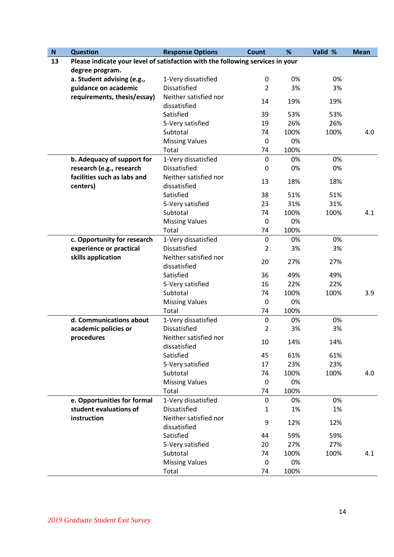| $\boldsymbol{\mathsf{N}}$ | <b>Question</b>                                                                | <b>Response Options</b>               | <b>Count</b>   | %    | Valid % | <b>Mean</b> |
|---------------------------|--------------------------------------------------------------------------------|---------------------------------------|----------------|------|---------|-------------|
| 13                        | Please indicate your level of satisfaction with the following services in your |                                       |                |      |         |             |
|                           | degree program.                                                                |                                       |                |      |         |             |
|                           | a. Student advising (e.g.,                                                     | 1-Very dissatisfied                   | 0              | 0%   | 0%      |             |
|                           | guidance on academic                                                           | <b>Dissatisfied</b>                   | $\overline{2}$ | 3%   | 3%      |             |
|                           | requirements, thesis/essay)                                                    | Neither satisfied nor<br>dissatisfied | 14             | 19%  | 19%     |             |
|                           |                                                                                | Satisfied                             | 39             | 53%  | 53%     |             |
|                           |                                                                                | 5-Very satisfied                      | 19             | 26%  | 26%     |             |
|                           |                                                                                | Subtotal                              | 74             | 100% | 100%    | 4.0         |
|                           |                                                                                | <b>Missing Values</b>                 | 0              | 0%   |         |             |
|                           |                                                                                | Total                                 | 74             | 100% |         |             |
|                           | b. Adequacy of support for                                                     | 1-Very dissatisfied                   | $\mathbf 0$    | 0%   | 0%      |             |
|                           | research (e.g., research                                                       | <b>Dissatisfied</b>                   | 0              | 0%   | 0%      |             |
|                           | facilities such as labs and<br>centers)                                        | Neither satisfied nor<br>dissatisfied | 13             | 18%  | 18%     |             |
|                           |                                                                                | Satisfied                             | 38             | 51%  | 51%     |             |
|                           |                                                                                | 5-Very satisfied                      | 23             | 31%  | 31%     |             |
|                           |                                                                                | Subtotal                              | 74             | 100% | 100%    | 4.1         |
|                           |                                                                                | <b>Missing Values</b>                 | $\mathbf 0$    | 0%   |         |             |
|                           |                                                                                | Total                                 | 74             | 100% |         |             |
|                           | c. Opportunity for research                                                    | 1-Very dissatisfied                   | $\mathbf 0$    | 0%   | 0%      |             |
|                           | experience or practical                                                        | <b>Dissatisfied</b>                   | $\overline{2}$ | 3%   | 3%      |             |
|                           | skills application                                                             | Neither satisfied nor<br>dissatisfied | 20             | 27%  | 27%     |             |
|                           |                                                                                | Satisfied                             | 36             | 49%  | 49%     |             |
|                           |                                                                                | 5-Very satisfied                      | 16             | 22%  | 22%     |             |
|                           |                                                                                | Subtotal                              | 74             | 100% | 100%    | 3.9         |
|                           |                                                                                | <b>Missing Values</b>                 | $\mathbf 0$    | 0%   |         |             |
|                           |                                                                                | Total                                 | 74             | 100% |         |             |
|                           | d. Communications about                                                        | 1-Very dissatisfied                   | $\mathbf 0$    | 0%   | 0%      |             |
|                           | academic policies or                                                           | <b>Dissatisfied</b>                   | 2              | 3%   | 3%      |             |
|                           | procedures                                                                     | Neither satisfied nor<br>dissatisfied | 10             | 14%  | 14%     |             |
|                           |                                                                                | Satisfied                             | 45             | 61%  | 61%     |             |
|                           |                                                                                | 5-Very satisfied                      | 17             | 23%  | 23%     |             |
|                           |                                                                                | Subtotal                              | 74             | 100% | 100%    | 4.0         |
|                           |                                                                                | <b>Missing Values</b>                 | 0              | 0%   |         |             |
|                           |                                                                                | Total                                 | 74             | 100% |         |             |
|                           | e. Opportunities for formal                                                    | 1-Very dissatisfied                   | $\pmb{0}$      | 0%   | 0%      |             |
|                           | student evaluations of                                                         | <b>Dissatisfied</b>                   | $\mathbf{1}$   | 1%   | 1%      |             |
|                           | instruction                                                                    | Neither satisfied nor<br>dissatisfied | 9              | 12%  | 12%     |             |
|                           |                                                                                | Satisfied                             | 44             | 59%  | 59%     |             |
|                           |                                                                                | 5-Very satisfied                      | 20             | 27%  | 27%     |             |
|                           |                                                                                | Subtotal                              | 74             | 100% | 100%    | 4.1         |
|                           |                                                                                | <b>Missing Values</b>                 | 0              | 0%   |         |             |
|                           |                                                                                | Total                                 | 74             | 100% |         |             |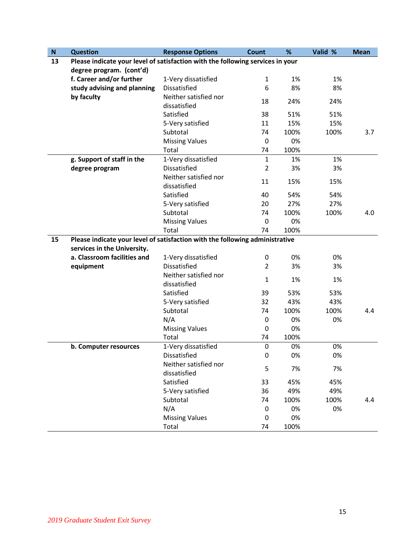| ${\sf N}$ | <b>Question</b>                                                                | <b>Response Options</b>               | <b>Count</b>     | %    | Valid % | <b>Mean</b> |
|-----------|--------------------------------------------------------------------------------|---------------------------------------|------------------|------|---------|-------------|
| 13        | Please indicate your level of satisfaction with the following services in your |                                       |                  |      |         |             |
|           | degree program. (cont'd)                                                       |                                       |                  |      |         |             |
|           | f. Career and/or further                                                       | 1-Very dissatisfied                   | $\mathbf{1}$     | 1%   | 1%      |             |
|           | study advising and planning                                                    | <b>Dissatisfied</b>                   | 6                | 8%   | 8%      |             |
|           | by faculty                                                                     | Neither satisfied nor<br>dissatisfied | 18               | 24%  | 24%     |             |
|           |                                                                                | Satisfied                             | 38               | 51%  | 51%     |             |
|           |                                                                                | 5-Very satisfied                      | 11               | 15%  | 15%     |             |
|           |                                                                                | Subtotal                              | 74               | 100% | 100%    | 3.7         |
|           |                                                                                | <b>Missing Values</b>                 | $\boldsymbol{0}$ | 0%   |         |             |
|           |                                                                                | Total                                 | 74               | 100% |         |             |
|           | g. Support of staff in the                                                     | 1-Very dissatisfied                   | $\mathbf{1}$     | 1%   | 1%      |             |
|           | degree program                                                                 | <b>Dissatisfied</b>                   | 2                | 3%   | 3%      |             |
|           |                                                                                | Neither satisfied nor<br>dissatisfied | 11               | 15%  | 15%     |             |
|           |                                                                                | Satisfied                             | 40               | 54%  | 54%     |             |
|           |                                                                                | 5-Very satisfied                      | 20               | 27%  | 27%     |             |
|           |                                                                                | Subtotal                              | 74               | 100% | 100%    | 4.0         |
|           |                                                                                | <b>Missing Values</b>                 | $\boldsymbol{0}$ | 0%   |         |             |
|           |                                                                                | Total                                 | 74               | 100% |         |             |
| 15        | Please indicate your level of satisfaction with the following administrative   |                                       |                  |      |         |             |
|           | services in the University.                                                    |                                       |                  |      |         |             |
|           | a. Classroom facilities and                                                    | 1-Very dissatisfied                   | 0                | 0%   | 0%      |             |
|           | equipment                                                                      | <b>Dissatisfied</b>                   | $\overline{2}$   | 3%   | 3%      |             |
|           |                                                                                | Neither satisfied nor<br>dissatisfied | 1                | 1%   | 1%      |             |
|           |                                                                                | Satisfied                             | 39               | 53%  | 53%     |             |
|           |                                                                                | 5-Very satisfied                      | 32               | 43%  | 43%     |             |
|           |                                                                                | Subtotal                              | 74               | 100% | 100%    | 4.4         |
|           |                                                                                | N/A                                   | $\boldsymbol{0}$ | 0%   | 0%      |             |
|           |                                                                                | <b>Missing Values</b>                 | $\boldsymbol{0}$ | 0%   |         |             |
|           |                                                                                | Total                                 | 74               | 100% |         |             |
|           | b. Computer resources                                                          | 1-Very dissatisfied                   | $\pmb{0}$        | 0%   | 0%      |             |
|           |                                                                                | Dissatisfied                          | 0                | 0%   | 0%      |             |
|           |                                                                                | Neither satisfied nor                 | 5                | 7%   | 7%      |             |
|           |                                                                                | dissatisfied                          |                  |      |         |             |
|           |                                                                                | Satisfied                             | 33               | 45%  | 45%     |             |
|           |                                                                                | 5-Very satisfied                      | 36               | 49%  | 49%     |             |
|           |                                                                                | Subtotal                              | 74               | 100% | 100%    | 4.4         |
|           |                                                                                | N/A                                   | 0                | 0%   | 0%      |             |
|           |                                                                                | <b>Missing Values</b>                 | 0                | 0%   |         |             |
|           |                                                                                | Total                                 | 74               | 100% |         |             |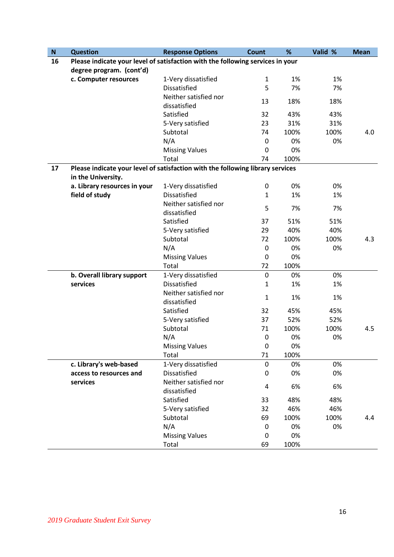| $\boldsymbol{\mathsf{N}}$ | <b>Question</b>                                                                | <b>Response Options</b>               | <b>Count</b>     | %    | Valid % | <b>Mean</b> |
|---------------------------|--------------------------------------------------------------------------------|---------------------------------------|------------------|------|---------|-------------|
| 16                        | Please indicate your level of satisfaction with the following services in your |                                       |                  |      |         |             |
|                           | degree program. (cont'd)                                                       |                                       |                  |      |         |             |
|                           | c. Computer resources                                                          | 1-Very dissatisfied                   | $\mathbf{1}$     | 1%   | 1%      |             |
|                           |                                                                                | <b>Dissatisfied</b>                   | 5                | 7%   | 7%      |             |
|                           |                                                                                | Neither satisfied nor<br>dissatisfied | 13               | 18%  | 18%     |             |
|                           |                                                                                | Satisfied                             | 32               | 43%  | 43%     |             |
|                           |                                                                                | 5-Very satisfied                      | 23               | 31%  | 31%     |             |
|                           |                                                                                | Subtotal                              | 74               | 100% | 100%    | 4.0         |
|                           |                                                                                | N/A                                   | $\boldsymbol{0}$ | 0%   | 0%      |             |
|                           |                                                                                | <b>Missing Values</b>                 | $\mathbf 0$      | 0%   |         |             |
|                           |                                                                                | Total                                 | 74               | 100% |         |             |
| 17                        | Please indicate your level of satisfaction with the following library services |                                       |                  |      |         |             |
|                           | in the University.                                                             |                                       |                  |      |         |             |
|                           | a. Library resources in your                                                   | 1-Very dissatisfied                   | 0                | 0%   | 0%      |             |
|                           | field of study                                                                 | <b>Dissatisfied</b>                   | $\mathbf{1}$     | 1%   | 1%      |             |
|                           |                                                                                | Neither satisfied nor                 | 5                | 7%   | 7%      |             |
|                           |                                                                                | dissatisfied                          |                  |      |         |             |
|                           |                                                                                | Satisfied                             | 37               | 51%  | 51%     |             |
|                           |                                                                                | 5-Very satisfied                      | 29               | 40%  | 40%     |             |
|                           |                                                                                | Subtotal                              | 72               | 100% | 100%    | 4.3         |
|                           |                                                                                | N/A                                   | $\boldsymbol{0}$ | 0%   | 0%      |             |
|                           |                                                                                | <b>Missing Values</b>                 | $\mathbf 0$      | 0%   |         |             |
|                           |                                                                                | Total                                 | 72               | 100% |         |             |
|                           | b. Overall library support                                                     | 1-Very dissatisfied                   | $\mathbf 0$      | 0%   | 0%      |             |
|                           | services                                                                       | Dissatisfied                          | $\mathbf{1}$     | 1%   | 1%      |             |
|                           |                                                                                | Neither satisfied nor<br>dissatisfied | $\mathbf{1}$     | 1%   | 1%      |             |
|                           |                                                                                | Satisfied                             | 32               | 45%  | 45%     |             |
|                           |                                                                                | 5-Very satisfied                      | 37               | 52%  | 52%     |             |
|                           |                                                                                | Subtotal                              | 71               | 100% | 100%    | 4.5         |
|                           |                                                                                | N/A                                   | $\mathbf 0$      | 0%   | 0%      |             |
|                           |                                                                                | <b>Missing Values</b>                 | $\pmb{0}$        | 0%   |         |             |
|                           |                                                                                | Total                                 | 71               | 100% |         |             |
|                           | c. Library's web-based                                                         | 1-Very dissatisfied                   | 0                | 0%   | 0%      |             |
|                           | access to resources and                                                        | Dissatisfied                          | 0                | 0%   | 0%      |             |
|                           | services                                                                       | Neither satisfied nor<br>dissatisfied | 4                | 6%   | 6%      |             |
|                           |                                                                                | Satisfied                             | 33               | 48%  | 48%     |             |
|                           |                                                                                | 5-Very satisfied                      | 32               | 46%  | 46%     |             |
|                           |                                                                                | Subtotal                              | 69               | 100% | 100%    | 4.4         |
|                           |                                                                                | N/A                                   | 0                | 0%   | 0%      |             |
|                           |                                                                                | <b>Missing Values</b>                 | 0                | 0%   |         |             |
|                           |                                                                                | Total                                 | 69               | 100% |         |             |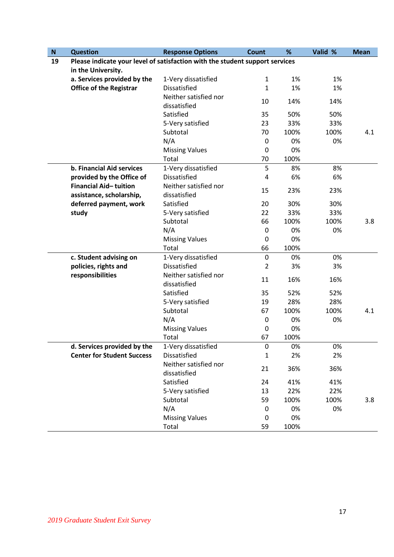| $\boldsymbol{\mathsf{N}}$ | <b>Question</b>                                                              | <b>Response Options</b>               | <b>Count</b> | %    | Valid % | <b>Mean</b> |
|---------------------------|------------------------------------------------------------------------------|---------------------------------------|--------------|------|---------|-------------|
| 19                        | Please indicate your level of satisfaction with the student support services |                                       |              |      |         |             |
|                           | in the University.                                                           |                                       |              |      |         |             |
|                           | a. Services provided by the                                                  | 1-Very dissatisfied                   | $\mathbf{1}$ | 1%   | 1%      |             |
|                           | <b>Office of the Registrar</b>                                               | <b>Dissatisfied</b>                   | 1            | 1%   | 1%      |             |
|                           |                                                                              | Neither satisfied nor<br>dissatisfied | 10           | 14%  | 14%     |             |
|                           |                                                                              | Satisfied                             | 35           | 50%  | 50%     |             |
|                           |                                                                              | 5-Very satisfied                      | 23           | 33%  | 33%     |             |
|                           |                                                                              | Subtotal                              | 70           | 100% | 100%    | 4.1         |
|                           |                                                                              | N/A                                   | 0            | 0%   | 0%      |             |
|                           |                                                                              | <b>Missing Values</b>                 | $\pmb{0}$    | 0%   |         |             |
|                           |                                                                              | Total                                 | 70           | 100% |         |             |
|                           | b. Financial Aid services                                                    | 1-Very dissatisfied                   | 5            | 8%   | 8%      |             |
|                           | provided by the Office of                                                    | <b>Dissatisfied</b>                   | 4            | 6%   | 6%      |             |
|                           | Financial Aid-tuition<br>assistance, scholarship,                            | Neither satisfied nor<br>dissatisfied | 15           | 23%  | 23%     |             |
|                           | deferred payment, work                                                       | Satisfied                             | 20           | 30%  | 30%     |             |
|                           | study                                                                        | 5-Very satisfied                      | 22           | 33%  | 33%     |             |
|                           |                                                                              | Subtotal                              | 66           | 100% | 100%    | 3.8         |
|                           |                                                                              | N/A                                   | 0            | 0%   | 0%      |             |
|                           |                                                                              | <b>Missing Values</b>                 | $\pmb{0}$    | 0%   |         |             |
|                           |                                                                              | Total                                 | 66           | 100% |         |             |
|                           | c. Student advising on                                                       | 1-Very dissatisfied                   | $\mathbf 0$  | 0%   | 0%      |             |
|                           | policies, rights and                                                         | <b>Dissatisfied</b>                   | 2            | 3%   | 3%      |             |
|                           | responsibilities                                                             | Neither satisfied nor<br>dissatisfied | 11           | 16%  | 16%     |             |
|                           |                                                                              | Satisfied                             | 35           | 52%  | 52%     |             |
|                           |                                                                              | 5-Very satisfied                      | 19           | 28%  | 28%     |             |
|                           |                                                                              | Subtotal                              | 67           | 100% | 100%    | 4.1         |
|                           |                                                                              | N/A                                   | 0            | 0%   | 0%      |             |
|                           |                                                                              | <b>Missing Values</b>                 | $\mathbf 0$  | 0%   |         |             |
|                           |                                                                              | Total                                 | 67           | 100% |         |             |
|                           | d. Services provided by the                                                  | 1-Very dissatisfied                   | 0            | 0%   | 0%      |             |
|                           | <b>Center for Student Success</b>                                            | <b>Dissatisfied</b>                   | 1            | 2%   | 2%      |             |
|                           |                                                                              | Neither satisfied nor                 | 21           | 36%  | 36%     |             |
|                           |                                                                              | dissatisfied                          |              |      |         |             |
|                           |                                                                              | Satisfied                             | 24           | 41%  | 41%     |             |
|                           |                                                                              | 5-Very satisfied                      | 13           | 22%  | 22%     |             |
|                           |                                                                              | Subtotal                              | 59           | 100% | 100%    | 3.8         |
|                           |                                                                              | N/A                                   | 0            | 0%   | 0%      |             |
|                           |                                                                              | <b>Missing Values</b>                 | 0            | 0%   |         |             |
|                           |                                                                              | Total                                 | 59           | 100% |         |             |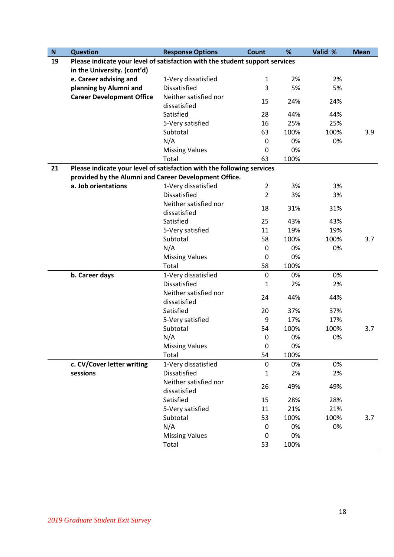| $\boldsymbol{\mathsf{N}}$ | <b>Question</b>                                                              | <b>Response Options</b>               | <b>Count</b>     | %    | Valid % | <b>Mean</b> |
|---------------------------|------------------------------------------------------------------------------|---------------------------------------|------------------|------|---------|-------------|
| 19                        | Please indicate your level of satisfaction with the student support services |                                       |                  |      |         |             |
|                           | in the University. (cont'd)                                                  |                                       |                  |      |         |             |
|                           | e. Career advising and                                                       | 1-Very dissatisfied                   | $\mathbf{1}$     | 2%   | 2%      |             |
|                           | planning by Alumni and                                                       | <b>Dissatisfied</b>                   | 3                | 5%   | 5%      |             |
|                           | <b>Career Development Office</b>                                             | Neither satisfied nor<br>dissatisfied | 15               | 24%  | 24%     |             |
|                           |                                                                              | Satisfied                             | 28               | 44%  | 44%     |             |
|                           |                                                                              | 5-Very satisfied                      | 16               | 25%  | 25%     |             |
|                           |                                                                              | Subtotal                              | 63               | 100% | 100%    | 3.9         |
|                           |                                                                              | N/A                                   | $\boldsymbol{0}$ | 0%   | 0%      |             |
|                           |                                                                              | <b>Missing Values</b>                 | $\mathbf 0$      | 0%   |         |             |
|                           |                                                                              | Total                                 | 63               | 100% |         |             |
| 21                        | Please indicate your level of satisfaction with the following services       |                                       |                  |      |         |             |
|                           | provided by the Alumni and Career Development Office.                        |                                       |                  |      |         |             |
|                           | a. Job orientations                                                          | 1-Very dissatisfied                   | $\overline{2}$   | 3%   | 3%      |             |
|                           |                                                                              | <b>Dissatisfied</b>                   | $\overline{2}$   | 3%   | 3%      |             |
|                           |                                                                              | Neither satisfied nor                 |                  |      |         |             |
|                           |                                                                              | dissatisfied                          | 18               | 31%  | 31%     |             |
|                           |                                                                              | Satisfied                             | 25               | 43%  | 43%     |             |
|                           |                                                                              | 5-Very satisfied                      | 11               | 19%  | 19%     |             |
|                           |                                                                              | Subtotal                              | 58               | 100% | 100%    | 3.7         |
|                           |                                                                              | N/A                                   | $\boldsymbol{0}$ | 0%   | 0%      |             |
|                           |                                                                              | <b>Missing Values</b>                 | $\boldsymbol{0}$ | 0%   |         |             |
|                           |                                                                              | Total                                 | 58               | 100% |         |             |
|                           | b. Career days                                                               | 1-Very dissatisfied                   | $\pmb{0}$        | 0%   | 0%      |             |
|                           |                                                                              | Dissatisfied                          | 1                | 2%   | 2%      |             |
|                           |                                                                              | Neither satisfied nor<br>dissatisfied | 24               | 44%  | 44%     |             |
|                           |                                                                              | Satisfied                             | 20               | 37%  | 37%     |             |
|                           |                                                                              | 5-Very satisfied                      | 9                | 17%  | 17%     |             |
|                           |                                                                              | Subtotal                              | 54               | 100% | 100%    | 3.7         |
|                           |                                                                              | N/A                                   | 0                | 0%   | 0%      |             |
|                           |                                                                              | <b>Missing Values</b>                 | $\mathbf 0$      | 0%   |         |             |
|                           |                                                                              | Total                                 | 54               | 100% |         |             |
|                           | c. CV/Cover letter writing                                                   | 1-Very dissatisfied                   | $\boldsymbol{0}$ | 0%   | 0%      |             |
|                           | sessions                                                                     | <b>Dissatisfied</b>                   | $\mathbf{1}$     | 2%   | 2%      |             |
|                           |                                                                              | Neither satisfied nor                 | 26               | 49%  | 49%     |             |
|                           |                                                                              | dissatisfied                          |                  |      |         |             |
|                           |                                                                              | Satisfied                             | 15               | 28%  | 28%     |             |
|                           |                                                                              | 5-Very satisfied                      | 11               | 21%  | 21%     |             |
|                           |                                                                              | Subtotal                              | 53               | 100% | 100%    | 3.7         |
|                           |                                                                              | N/A                                   | 0                | 0%   | 0%      |             |
|                           |                                                                              | <b>Missing Values</b>                 | $\mathbf 0$      | 0%   |         |             |
|                           |                                                                              | Total                                 | 53               | 100% |         |             |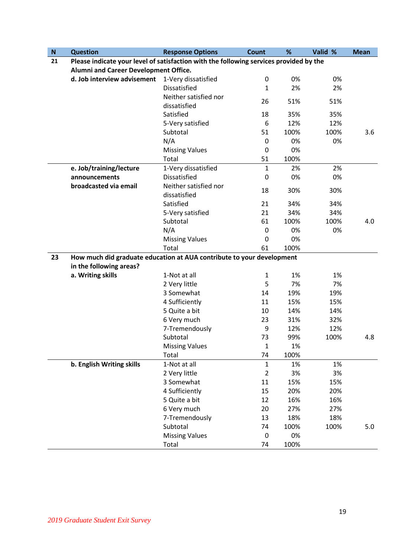| ${\bf N}$ | <b>Question</b>                                                                        | <b>Response Options</b> | <b>Count</b>     | %    | Valid % | <b>Mean</b> |
|-----------|----------------------------------------------------------------------------------------|-------------------------|------------------|------|---------|-------------|
| 21        | Please indicate your level of satisfaction with the following services provided by the |                         |                  |      |         |             |
|           | Alumni and Career Development Office.                                                  |                         |                  |      |         |             |
|           | d. Job interview advisement                                                            | 1-Very dissatisfied     | $\boldsymbol{0}$ | 0%   | 0%      |             |
|           |                                                                                        | <b>Dissatisfied</b>     | 1                | 2%   | 2%      |             |
|           |                                                                                        | Neither satisfied nor   | 26               | 51%  | 51%     |             |
|           |                                                                                        | dissatisfied            |                  |      |         |             |
|           |                                                                                        | Satisfied               | 18               | 35%  | 35%     |             |
|           |                                                                                        | 5-Very satisfied        | 6                | 12%  | 12%     |             |
|           |                                                                                        | Subtotal                | 51               | 100% | 100%    | 3.6         |
|           |                                                                                        | N/A                     | 0                | 0%   | 0%      |             |
|           |                                                                                        | <b>Missing Values</b>   | 0                | 0%   |         |             |
|           |                                                                                        | Total                   | 51               | 100% |         |             |
|           | e. Job/training/lecture                                                                | 1-Very dissatisfied     | $\mathbf{1}$     | 2%   | 2%      |             |
|           | announcements                                                                          | <b>Dissatisfied</b>     | $\mathbf 0$      | 0%   | 0%      |             |
|           | broadcasted via email                                                                  | Neither satisfied nor   | 18               | 30%  | 30%     |             |
|           |                                                                                        | dissatisfied            |                  |      |         |             |
|           |                                                                                        | Satisfied               | 21               | 34%  | 34%     |             |
|           |                                                                                        | 5-Very satisfied        | 21               | 34%  | 34%     |             |
|           |                                                                                        | Subtotal                | 61               | 100% | 100%    | 4.0         |
|           |                                                                                        | N/A                     | $\mathbf 0$      | 0%   | 0%      |             |
|           |                                                                                        | <b>Missing Values</b>   | 0                | 0%   |         |             |
|           |                                                                                        | Total                   | 61               | 100% |         |             |
| 23        | How much did graduate education at AUA contribute to your development                  |                         |                  |      |         |             |
|           | in the following areas?                                                                |                         |                  |      |         |             |
|           | a. Writing skills                                                                      | 1-Not at all            | $\mathbf{1}$     | 1%   | 1%      |             |
|           |                                                                                        | 2 Very little           | 5                | 7%   | 7%      |             |
|           |                                                                                        | 3 Somewhat              | 14               | 19%  | 19%     |             |
|           |                                                                                        | 4 Sufficiently          | 11               | 15%  | 15%     |             |
|           |                                                                                        | 5 Quite a bit           | 10               | 14%  | 14%     |             |
|           |                                                                                        | 6 Very much             | 23               | 31%  | 32%     |             |
|           |                                                                                        | 7-Tremendously          | 9                | 12%  | 12%     |             |
|           |                                                                                        | Subtotal                | 73               | 99%  | 100%    | 4.8         |
|           |                                                                                        | <b>Missing Values</b>   | 1                | 1%   |         |             |
|           |                                                                                        | Total                   | 74               | 100% |         |             |
|           | b. English Writing skills                                                              | 1-Not at all            | $\mathbf{1}$     | 1%   | 1%      |             |
|           |                                                                                        | 2 Very little           | $\overline{2}$   | 3%   | 3%      |             |
|           |                                                                                        | 3 Somewhat              | 11               | 15%  | 15%     |             |
|           |                                                                                        | 4 Sufficiently          | 15               | 20%  | 20%     |             |
|           |                                                                                        | 5 Quite a bit           | 12               | 16%  | 16%     |             |
|           |                                                                                        | 6 Very much             | 20               | 27%  | 27%     |             |
|           |                                                                                        | 7-Tremendously          | 13               | 18%  | 18%     |             |
|           |                                                                                        | Subtotal                | 74               | 100% | 100%    | 5.0         |
|           |                                                                                        | <b>Missing Values</b>   | $\mathbf 0$      | 0%   |         |             |
|           |                                                                                        | Total                   | 74               | 100% |         |             |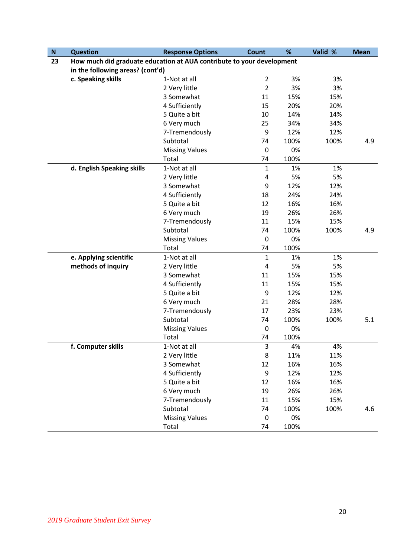| ${\sf N}$ | <b>Question</b>                                                       | <b>Response Options</b> | Count          | %    | Valid % | <b>Mean</b> |
|-----------|-----------------------------------------------------------------------|-------------------------|----------------|------|---------|-------------|
| 23        | How much did graduate education at AUA contribute to your development |                         |                |      |         |             |
|           | in the following areas? (cont'd)                                      |                         |                |      |         |             |
|           | c. Speaking skills                                                    | 1-Not at all            | $\overline{2}$ | 3%   | 3%      |             |
|           |                                                                       | 2 Very little           | $\overline{2}$ | 3%   | 3%      |             |
|           |                                                                       | 3 Somewhat              | 11             | 15%  | 15%     |             |
|           |                                                                       | 4 Sufficiently          | 15             | 20%  | 20%     |             |
|           |                                                                       | 5 Quite a bit           | 10             | 14%  | 14%     |             |
|           |                                                                       | 6 Very much             | 25             | 34%  | 34%     |             |
|           |                                                                       | 7-Tremendously          | 9              | 12%  | 12%     |             |
|           |                                                                       | Subtotal                | 74             | 100% | 100%    | 4.9         |
|           |                                                                       | <b>Missing Values</b>   | $\pmb{0}$      | 0%   |         |             |
|           |                                                                       | Total                   | 74             | 100% |         |             |
|           | d. English Speaking skills                                            | 1-Not at all            | $\mathbf{1}$   | 1%   | 1%      |             |
|           |                                                                       | 2 Very little           | 4              | 5%   | 5%      |             |
|           |                                                                       | 3 Somewhat              | 9              | 12%  | 12%     |             |
|           |                                                                       | 4 Sufficiently          | 18             | 24%  | 24%     |             |
|           |                                                                       | 5 Quite a bit           | 12             | 16%  | 16%     |             |
|           |                                                                       | 6 Very much             | 19             | 26%  | 26%     |             |
|           |                                                                       | 7-Tremendously          | 11             | 15%  | 15%     |             |
|           |                                                                       | Subtotal                | 74             | 100% | 100%    | 4.9         |
|           |                                                                       | <b>Missing Values</b>   | $\pmb{0}$      | 0%   |         |             |
|           |                                                                       | Total                   | 74             | 100% |         |             |
|           | e. Applying scientific                                                | 1-Not at all            | $\mathbf{1}$   | 1%   | 1%      |             |
|           | methods of inquiry                                                    | 2 Very little           | 4              | 5%   | 5%      |             |
|           |                                                                       | 3 Somewhat              | 11             | 15%  | 15%     |             |
|           |                                                                       | 4 Sufficiently          | 11             | 15%  | 15%     |             |
|           |                                                                       | 5 Quite a bit           | 9              | 12%  | 12%     |             |
|           |                                                                       | 6 Very much             | 21             | 28%  | 28%     |             |
|           |                                                                       | 7-Tremendously          | 17             | 23%  | 23%     |             |
|           |                                                                       | Subtotal                | 74             | 100% | 100%    | 5.1         |
|           |                                                                       | <b>Missing Values</b>   | $\pmb{0}$      | 0%   |         |             |
|           |                                                                       | Total                   | 74             | 100% |         |             |
|           | f. Computer skills                                                    | 1-Not at all            | 3              | 4%   | 4%      |             |
|           |                                                                       | 2 Very little           | 8              | 11%  | 11%     |             |
|           |                                                                       | 3 Somewhat              | 12             | 16%  | 16%     |             |
|           |                                                                       | 4 Sufficiently          | 9              | 12%  | 12%     |             |
|           |                                                                       | 5 Quite a bit           | 12             | 16%  | 16%     |             |
|           |                                                                       | 6 Very much             | 19             | 26%  | 26%     |             |
|           |                                                                       | 7-Tremendously          | 11             | 15%  | 15%     |             |
|           |                                                                       | Subtotal                | 74             | 100% | 100%    | 4.6         |
|           |                                                                       | <b>Missing Values</b>   | $\mathbf 0$    | 0%   |         |             |
|           |                                                                       | Total                   | 74             | 100% |         |             |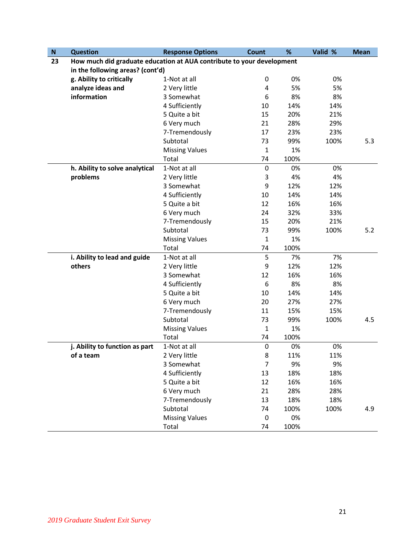| $\boldsymbol{\mathsf{N}}$ | <b>Question</b>                                                       | <b>Response Options</b> | <b>Count</b>   | %    | Valid % | <b>Mean</b> |
|---------------------------|-----------------------------------------------------------------------|-------------------------|----------------|------|---------|-------------|
| 23                        | How much did graduate education at AUA contribute to your development |                         |                |      |         |             |
|                           | in the following areas? (cont'd)                                      |                         |                |      |         |             |
|                           | g. Ability to critically                                              | 1-Not at all            | 0              | 0%   | 0%      |             |
|                           | analyze ideas and                                                     | 2 Very little           | 4              | 5%   | 5%      |             |
|                           | information                                                           | 3 Somewhat              | 6              | 8%   | 8%      |             |
|                           |                                                                       | 4 Sufficiently          | 10             | 14%  | 14%     |             |
|                           |                                                                       | 5 Quite a bit           | 15             | 20%  | 21%     |             |
|                           |                                                                       | 6 Very much             | 21             | 28%  | 29%     |             |
|                           |                                                                       | 7-Tremendously          | 17             | 23%  | 23%     |             |
|                           |                                                                       | Subtotal                | 73             | 99%  | 100%    | 5.3         |
|                           |                                                                       | <b>Missing Values</b>   | $\mathbf{1}$   | 1%   |         |             |
|                           |                                                                       | Total                   | 74             | 100% |         |             |
|                           | h. Ability to solve analytical                                        | 1-Not at all            | $\pmb{0}$      | 0%   | 0%      |             |
|                           | problems                                                              | 2 Very little           | 3              | 4%   | 4%      |             |
|                           |                                                                       | 3 Somewhat              | 9              | 12%  | 12%     |             |
|                           |                                                                       | 4 Sufficiently          | 10             | 14%  | 14%     |             |
|                           |                                                                       | 5 Quite a bit           | 12             | 16%  | 16%     |             |
|                           |                                                                       | 6 Very much             | 24             | 32%  | 33%     |             |
|                           |                                                                       | 7-Tremendously          | 15             | 20%  | 21%     |             |
|                           |                                                                       | Subtotal                | 73             | 99%  | 100%    | 5.2         |
|                           |                                                                       | <b>Missing Values</b>   | $\mathbf{1}$   | 1%   |         |             |
|                           |                                                                       | Total                   | 74             | 100% |         |             |
|                           | i. Ability to lead and guide                                          | 1-Not at all            | 5              | 7%   | 7%      |             |
|                           | others                                                                | 2 Very little           | 9              | 12%  | 12%     |             |
|                           |                                                                       | 3 Somewhat              | 12             | 16%  | 16%     |             |
|                           |                                                                       | 4 Sufficiently          | 6              | 8%   | 8%      |             |
|                           |                                                                       | 5 Quite a bit           | 10             | 14%  | 14%     |             |
|                           |                                                                       | 6 Very much             | 20             | 27%  | 27%     |             |
|                           |                                                                       | 7-Tremendously          | 11             | 15%  | 15%     |             |
|                           |                                                                       | Subtotal                | 73             | 99%  | 100%    | 4.5         |
|                           |                                                                       | <b>Missing Values</b>   | $\mathbf{1}$   | 1%   |         |             |
|                           |                                                                       | Total                   | 74             | 100% |         |             |
|                           | j. Ability to function as part                                        | 1-Not at all            | 0              | 0%   | 0%      |             |
|                           | of a team                                                             | 2 Very little           | 8              | 11%  | 11%     |             |
|                           |                                                                       | 3 Somewhat              | $\overline{7}$ | 9%   | 9%      |             |
|                           |                                                                       | 4 Sufficiently          | 13             | 18%  | 18%     |             |
|                           |                                                                       | 5 Quite a bit           | 12             | 16%  | 16%     |             |
|                           |                                                                       | 6 Very much             | 21             | 28%  | 28%     |             |
|                           |                                                                       | 7-Tremendously          | 13             | 18%  | 18%     |             |
|                           |                                                                       | Subtotal                | 74             | 100% | 100%    | 4.9         |
|                           |                                                                       | <b>Missing Values</b>   | $\mathbf 0$    | 0%   |         |             |
|                           |                                                                       | Total                   | 74             | 100% |         |             |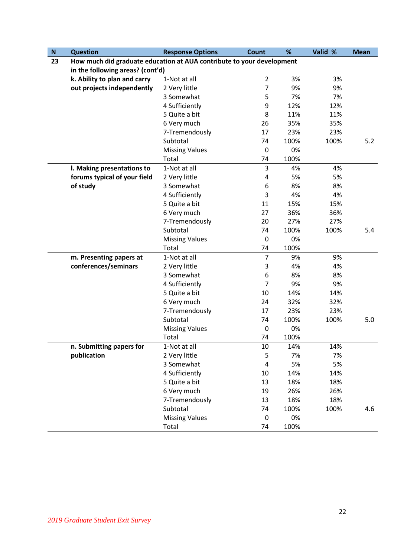| ${\bf N}$ | <b>Question</b>                                                       | <b>Response Options</b> | <b>Count</b>   | %    | Valid % | <b>Mean</b> |
|-----------|-----------------------------------------------------------------------|-------------------------|----------------|------|---------|-------------|
| 23        | How much did graduate education at AUA contribute to your development |                         |                |      |         |             |
|           | in the following areas? (cont'd)                                      |                         |                |      |         |             |
|           | k. Ability to plan and carry                                          | 1-Not at all            | $\overline{2}$ | 3%   | 3%      |             |
|           | out projects independently                                            | 2 Very little           | $\overline{7}$ | 9%   | 9%      |             |
|           |                                                                       | 3 Somewhat              | 5              | 7%   | 7%      |             |
|           |                                                                       | 4 Sufficiently          | 9              | 12%  | 12%     |             |
|           |                                                                       | 5 Quite a bit           | 8              | 11%  | 11%     |             |
|           |                                                                       | 6 Very much             | 26             | 35%  | 35%     |             |
|           |                                                                       | 7-Tremendously          | 17             | 23%  | 23%     |             |
|           |                                                                       | Subtotal                | 74             | 100% | 100%    | 5.2         |
|           |                                                                       | <b>Missing Values</b>   | $\mathbf 0$    | 0%   |         |             |
|           |                                                                       | Total                   | 74             | 100% |         |             |
|           | I. Making presentations to                                            | 1-Not at all            | 3              | 4%   | 4%      |             |
|           | forums typical of your field                                          | 2 Very little           | 4              | 5%   | 5%      |             |
|           | of study                                                              | 3 Somewhat              | 6              | 8%   | 8%      |             |
|           |                                                                       | 4 Sufficiently          | 3              | 4%   | 4%      |             |
|           |                                                                       | 5 Quite a bit           | 11             | 15%  | 15%     |             |
|           |                                                                       | 6 Very much             | 27             | 36%  | 36%     |             |
|           |                                                                       | 7-Tremendously          | 20             | 27%  | 27%     |             |
|           |                                                                       | Subtotal                | 74             | 100% | 100%    | 5.4         |
|           |                                                                       | <b>Missing Values</b>   | $\mathbf 0$    | 0%   |         |             |
|           |                                                                       | Total                   | 74             | 100% |         |             |
|           | m. Presenting papers at                                               | 1-Not at all            | $\overline{7}$ | 9%   | 9%      |             |
|           | conferences/seminars                                                  | 2 Very little           | 3              | 4%   | 4%      |             |
|           |                                                                       | 3 Somewhat              | 6              | 8%   | 8%      |             |
|           |                                                                       | 4 Sufficiently          | 7              | 9%   | 9%      |             |
|           |                                                                       | 5 Quite a bit           | 10             | 14%  | 14%     |             |
|           |                                                                       | 6 Very much             | 24             | 32%  | 32%     |             |
|           |                                                                       | 7-Tremendously          | 17             | 23%  | 23%     |             |
|           |                                                                       | Subtotal                | 74             | 100% | 100%    | 5.0         |
|           |                                                                       | <b>Missing Values</b>   | $\mathbf 0$    | 0%   |         |             |
|           |                                                                       | Total                   | 74             | 100% |         |             |
|           | n. Submitting papers for                                              | 1-Not at all            | 10             | 14%  | 14%     |             |
|           | publication                                                           | 2 Very little           | 5              | 7%   | 7%      |             |
|           |                                                                       | 3 Somewhat              | 4              | 5%   | 5%      |             |
|           |                                                                       | 4 Sufficiently          | 10             | 14%  | 14%     |             |
|           |                                                                       | 5 Quite a bit           | 13             | 18%  | 18%     |             |
|           |                                                                       | 6 Very much             | 19             | 26%  | 26%     |             |
|           |                                                                       | 7-Tremendously          | 13             | 18%  | 18%     |             |
|           |                                                                       | Subtotal                | 74             | 100% | 100%    | 4.6         |
|           |                                                                       | <b>Missing Values</b>   | $\mathbf 0$    | 0%   |         |             |
|           |                                                                       | Total                   | 74             | 100% |         |             |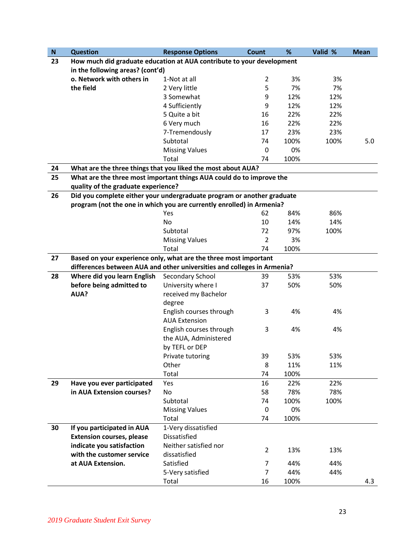| ${\sf N}$ | <b>Question</b>                                                         | <b>Response Options</b> | <b>Count</b>     | %    | Valid % | <b>Mean</b> |
|-----------|-------------------------------------------------------------------------|-------------------------|------------------|------|---------|-------------|
| 23        | How much did graduate education at AUA contribute to your development   |                         |                  |      |         |             |
|           | in the following areas? (cont'd)                                        |                         |                  |      |         |             |
|           | o. Network with others in                                               | 1-Not at all            | $\overline{2}$   | 3%   | 3%      |             |
|           | the field                                                               | 2 Very little           | 5                | 7%   | 7%      |             |
|           |                                                                         | 3 Somewhat              | 9                | 12%  | 12%     |             |
|           |                                                                         | 4 Sufficiently          | 9                | 12%  | 12%     |             |
|           |                                                                         | 5 Quite a bit           | 16               | 22%  | 22%     |             |
|           |                                                                         | 6 Very much             | 16               | 22%  | 22%     |             |
|           |                                                                         | 7-Tremendously          | 17               | 23%  | 23%     |             |
|           |                                                                         | Subtotal                | 74               | 100% | 100%    | 5.0         |
|           |                                                                         | <b>Missing Values</b>   | $\boldsymbol{0}$ | 0%   |         |             |
|           |                                                                         | Total                   | 74               | 100% |         |             |
| 24        | What are the three things that you liked the most about AUA?            |                         |                  |      |         |             |
| 25        | What are the three most important things AUA could do to improve the    |                         |                  |      |         |             |
|           | quality of the graduate experience?                                     |                         |                  |      |         |             |
| 26        | Did you complete either your undergraduate program or another graduate  |                         |                  |      |         |             |
|           | program (not the one in which you are currently enrolled) in Armenia?   |                         |                  |      |         |             |
|           |                                                                         | Yes                     | 62               | 84%  | 86%     |             |
|           |                                                                         | No                      | 10               | 14%  | 14%     |             |
|           |                                                                         | Subtotal                | 72               | 97%  | 100%    |             |
|           |                                                                         | <b>Missing Values</b>   | $\overline{2}$   | 3%   |         |             |
|           |                                                                         | Total                   | 74               | 100% |         |             |
| 27        | Based on your experience only, what are the three most important        |                         |                  |      |         |             |
|           | differences between AUA and other universities and colleges in Armenia? |                         |                  |      |         |             |
| 28        | Where did you learn English                                             | Secondary School        | 39               | 53%  | 53%     |             |
|           | before being admitted to                                                | University where I      | 37               | 50%  | 50%     |             |
|           | AUA?                                                                    | received my Bachelor    |                  |      |         |             |
|           |                                                                         | degree                  |                  |      |         |             |
|           |                                                                         | English courses through | 3                | 4%   | 4%      |             |
|           |                                                                         | <b>AUA Extension</b>    |                  |      |         |             |
|           |                                                                         | English courses through | 3                | 4%   | 4%      |             |
|           |                                                                         | the AUA, Administered   |                  |      |         |             |
|           |                                                                         | by TEFL or DEP          |                  |      |         |             |
|           |                                                                         | Private tutoring        | 39               | 53%  | 53%     |             |
|           |                                                                         | Other                   | 8                | 11%  | 11%     |             |
|           |                                                                         | Total                   | 74               | 100% |         |             |
| 29        | Have you ever participated                                              | Yes                     | 16               | 22%  | 22%     |             |
|           | in AUA Extension courses?                                               | No                      | 58               | 78%  | 78%     |             |
|           |                                                                         | Subtotal                | 74               | 100% | 100%    |             |
|           |                                                                         | <b>Missing Values</b>   | $\boldsymbol{0}$ | 0%   |         |             |
|           |                                                                         | Total                   | 74               | 100% |         |             |
| 30        | If you participated in AUA                                              | 1-Very dissatisfied     |                  |      |         |             |
|           | <b>Extension courses, please</b>                                        | Dissatisfied            |                  |      |         |             |
|           | indicate you satisfaction                                               | Neither satisfied nor   | $\overline{2}$   | 13%  | 13%     |             |
|           | with the customer service                                               | dissatisfied            |                  |      |         |             |
|           | at AUA Extension.                                                       | Satisfied               | 7                | 44%  | 44%     |             |
|           |                                                                         | 5-Very satisfied        | $\overline{7}$   | 44%  | 44%     |             |
|           |                                                                         | Total                   | 16               | 100% |         | 4.3         |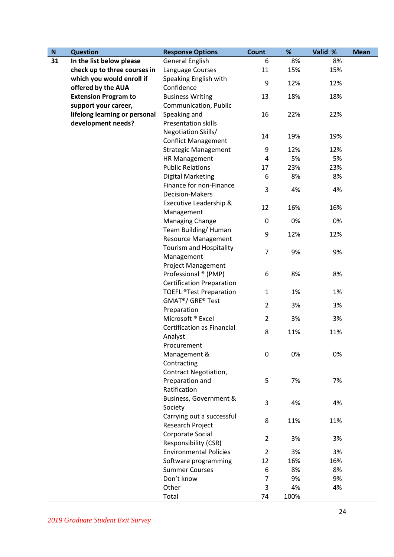| ${\bf N}$ | <b>Question</b>               | <b>Response Options</b>                   | <b>Count</b>   | %    | Valid % | <b>Mean</b> |
|-----------|-------------------------------|-------------------------------------------|----------------|------|---------|-------------|
| 31        | In the list below please      | <b>General English</b>                    | 6              | 8%   | 8%      |             |
|           | check up to three courses in  | Language Courses                          | 11             | 15%  | 15%     |             |
|           | which you would enroll if     | Speaking English with                     | 9              | 12%  | 12%     |             |
|           | offered by the AUA            | Confidence                                |                |      |         |             |
|           | <b>Extension Program to</b>   | <b>Business Writing</b>                   | 13             | 18%  | 18%     |             |
|           | support your career,          | Communication, Public                     |                |      |         |             |
|           | lifelong learning or personal | Speaking and                              | 16             | 22%  | 22%     |             |
|           | development needs?            | <b>Presentation skills</b>                |                |      |         |             |
|           |                               | Negotiation Skills/                       |                |      |         |             |
|           |                               | <b>Conflict Management</b>                | 14             | 19%  | 19%     |             |
|           |                               | <b>Strategic Management</b>               | 9              | 12%  | 12%     |             |
|           |                               | HR Management                             | 4              | 5%   | 5%      |             |
|           |                               | <b>Public Relations</b>                   | 17             | 23%  | 23%     |             |
|           |                               | <b>Digital Marketing</b>                  | 6              | 8%   | 8%      |             |
|           |                               | Finance for non-Finance                   |                |      |         |             |
|           |                               | <b>Decision-Makers</b>                    | 3              | 4%   | 4%      |             |
|           |                               | Executive Leadership &                    |                |      |         |             |
|           |                               | Management                                | 12             | 16%  | 16%     |             |
|           |                               | Managing Change                           | 0              | 0%   | 0%      |             |
|           |                               | Team Building/Human                       |                |      |         |             |
|           |                               | <b>Resource Management</b>                | 9              | 12%  | 12%     |             |
|           |                               | Tourism and Hospitality                   |                |      |         |             |
|           |                               | Management                                | $\overline{7}$ | 9%   | 9%      |             |
|           |                               | <b>Project Management</b>                 |                |      |         |             |
|           |                               | Professional ® (PMP)                      | 6              | 8%   | 8%      |             |
|           |                               | <b>Certification Preparation</b>          |                |      |         |             |
|           |                               | <b>TOEFL ®Test Preparation</b>            | $\mathbf{1}$   | 1%   | 1%      |             |
|           |                               | GMAT <sup>®</sup> / GRE <sup>®</sup> Test | $\overline{2}$ |      |         |             |
|           |                               | Preparation                               |                | 3%   | 3%      |             |
|           |                               | Microsoft <sup>®</sup> Excel              | $\overline{2}$ | 3%   | 3%      |             |
|           |                               | <b>Certification as Financial</b>         | 8              | 11%  | 11%     |             |
|           |                               | Analyst                                   |                |      |         |             |
|           |                               | Procurement                               |                |      |         |             |
|           |                               | Management &                              | $\mathbf 0$    | 0%   | 0%      |             |
|           |                               | Contracting                               |                |      |         |             |
|           |                               | <b>Contract Negotiation,</b>              |                |      |         |             |
|           |                               | Preparation and                           | 5              | 7%   | 7%      |             |
|           |                               | Ratification                              |                |      |         |             |
|           |                               | Business, Government &                    | 3              | 4%   | 4%      |             |
|           |                               | Society                                   |                |      |         |             |
|           |                               | Carrying out a successful                 | 8              | 11%  | 11%     |             |
|           |                               | Research Project                          |                |      |         |             |
|           |                               | Corporate Social                          | $\overline{2}$ | 3%   | 3%      |             |
|           |                               | Responsibility (CSR)                      |                |      |         |             |
|           |                               | <b>Environmental Policies</b>             | $\overline{2}$ | 3%   | 3%      |             |
|           |                               | Software programming                      | 12             | 16%  | 16%     |             |
|           |                               | <b>Summer Courses</b>                     | 6              | 8%   | 8%      |             |
|           |                               | Don't know                                | 7              | 9%   | 9%      |             |
|           |                               | Other                                     | 3              | 4%   | 4%      |             |
|           |                               | Total                                     | 74             | 100% |         |             |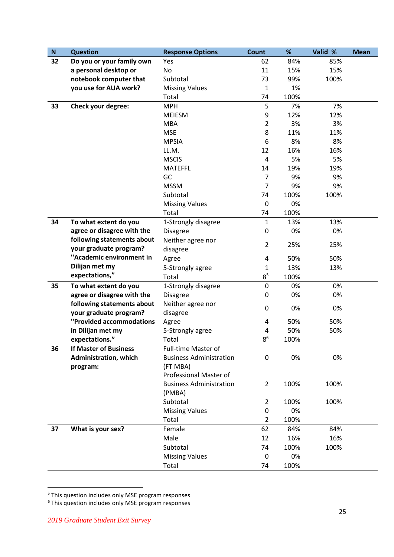| ${\sf N}$ | <b>Question</b>              | <b>Response Options</b>        | Count            | %    | Valid % | <b>Mean</b> |
|-----------|------------------------------|--------------------------------|------------------|------|---------|-------------|
| 32        | Do you or your family own    | Yes                            | 62               | 84%  | 85%     |             |
|           | a personal desktop or        | No                             | 11               | 15%  | 15%     |             |
|           | notebook computer that       | Subtotal                       | 73               | 99%  | 100%    |             |
|           | you use for AUA work?        | <b>Missing Values</b>          | $\mathbf{1}$     | 1%   |         |             |
|           |                              | Total                          | 74               | 100% |         |             |
| 33        | Check your degree:           | <b>MPH</b>                     | 5                | 7%   | 7%      |             |
|           |                              | <b>MEIESM</b>                  | 9                | 12%  | 12%     |             |
|           |                              | <b>MBA</b>                     | $\overline{2}$   | 3%   | 3%      |             |
|           |                              | <b>MSE</b>                     | 8                | 11%  | 11%     |             |
|           |                              | <b>MPSIA</b>                   | 6                | 8%   | 8%      |             |
|           |                              | LL.M.                          | 12               | 16%  | 16%     |             |
|           |                              | <b>MSCIS</b>                   | 4                | 5%   | 5%      |             |
|           |                              | <b>MATEFFL</b>                 | 14               | 19%  | 19%     |             |
|           |                              | GC                             | $\overline{7}$   | 9%   | 9%      |             |
|           |                              | <b>MSSM</b>                    | $\overline{7}$   | 9%   | 9%      |             |
|           |                              | Subtotal                       | 74               | 100% | 100%    |             |
|           |                              | <b>Missing Values</b>          | 0                | 0%   |         |             |
|           |                              | Total                          | 74               | 100% |         |             |
| 34        | To what extent do you        | 1-Strongly disagree            | $\mathbf{1}$     | 13%  | 13%     |             |
|           | agree or disagree with the   | <b>Disagree</b>                | 0                | 0%   | 0%      |             |
|           | following statements about   | Neither agree nor              |                  |      |         |             |
|           | your graduate program?       | disagree                       | $\overline{2}$   | 25%  | 25%     |             |
|           | "Academic environment in     | Agree                          | 4                | 50%  | 50%     |             |
|           | Dilijan met my               | 5-Strongly agree               | 1                | 13%  | 13%     |             |
|           | expectations,"               | Total                          | $8^5\,$          | 100% |         |             |
| 35        | To what extent do you        | 1-Strongly disagree            | $\mathbf 0$      | 0%   | 0%      |             |
|           | agree or disagree with the   | <b>Disagree</b>                | 0                | 0%   | 0%      |             |
|           | following statements about   | Neither agree nor              |                  |      |         |             |
|           | your graduate program?       | disagree                       | $\boldsymbol{0}$ | 0%   | 0%      |             |
|           | "Provided accommodations     | Agree                          | 4                | 50%  | 50%     |             |
|           | in Dilijan met my            | 5-Strongly agree               | 4                | 50%  | 50%     |             |
|           | expectations."               | Total                          | 8 <sup>6</sup>   | 100% |         |             |
| 36        | <b>If Master of Business</b> | <b>Full-time Master of</b>     |                  |      |         |             |
|           | <b>Administration, which</b> | <b>Business Administration</b> | 0                | 0%   | 0%      |             |
|           | program:                     | (FT MBA)                       |                  |      |         |             |
|           |                              | Professional Master of         |                  |      |         |             |
|           |                              | <b>Business Administration</b> | $\overline{2}$   | 100% | 100%    |             |
|           |                              | (PMBA)                         |                  |      |         |             |
|           |                              | Subtotal                       | $\overline{2}$   | 100% | 100%    |             |
|           |                              | <b>Missing Values</b>          | 0                | 0%   |         |             |
|           |                              | Total                          | $\overline{2}$   | 100% |         |             |
| 37        | What is your sex?            | Female                         | 62               | 84%  | 84%     |             |
|           |                              | Male                           | 12               | 16%  | 16%     |             |
|           |                              | Subtotal                       | 74               | 100% | 100%    |             |
|           |                              | <b>Missing Values</b>          | 0                | 0%   |         |             |
|           |                              | Total                          | 74               | 100% |         |             |
|           |                              |                                |                  |      |         |             |

<sup>&</sup>lt;sup>5</sup> This question includes only MSE program responses

**.** 

<sup>&</sup>lt;sup>6</sup> This question includes only MSE program responses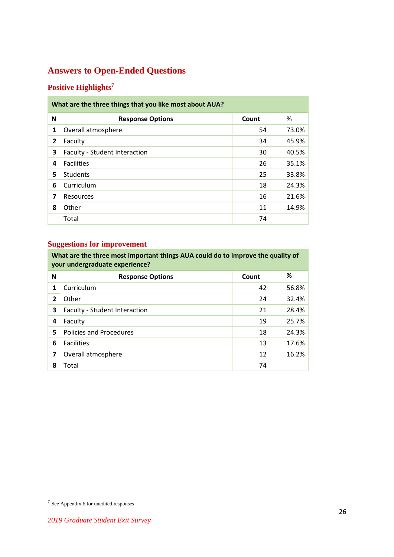# <span id="page-25-0"></span>**Answers to Open-Ended Questions**

### <span id="page-25-1"></span>**Positive Highlights<sup>7</sup>**

| What are the three things that you like most about AUA? |                               |       |       |  |  |  |
|---------------------------------------------------------|-------------------------------|-------|-------|--|--|--|
| N                                                       | <b>Response Options</b>       | Count | %     |  |  |  |
| $\mathbf{1}$                                            | Overall atmosphere            | 54    | 73.0% |  |  |  |
| $\overline{2}$                                          | Faculty                       | 34    | 45.9% |  |  |  |
| 3                                                       | Faculty - Student Interaction | 30    | 40.5% |  |  |  |
| 4                                                       | <b>Facilities</b>             | 26    | 35.1% |  |  |  |
| 5                                                       | <b>Students</b>               | 25    | 33.8% |  |  |  |
| 6                                                       | Curriculum                    | 18    | 24.3% |  |  |  |
| 7                                                       | <b>Resources</b>              | 16    | 21.6% |  |  |  |
| 8                                                       | Other                         | 11    | 14.9% |  |  |  |
|                                                         | Total                         | 74    |       |  |  |  |

### <span id="page-25-2"></span>**Suggestions for improvement**

**What are the three most important things AUA could do to improve the quality of your undergraduate experience?**

| N              | <b>Response Options</b>        | Count | %     |  |  |
|----------------|--------------------------------|-------|-------|--|--|
| 1              | Curriculum                     | 42    | 56.8% |  |  |
| $\overline{2}$ | Other                          | 24    | 32.4% |  |  |
| 3              | Faculty - Student Interaction  | 21    | 28.4% |  |  |
| 4              | Faculty                        | 19    | 25.7% |  |  |
| 5              | <b>Policies and Procedures</b> | 18    | 24.3% |  |  |
| 6              | <b>Facilities</b>              | 13    | 17.6% |  |  |
| 7              | Overall atmosphere             | 12    | 16.2% |  |  |
| 8              | Total                          | 74    |       |  |  |

 7 See Appendix 6 for unedited responses